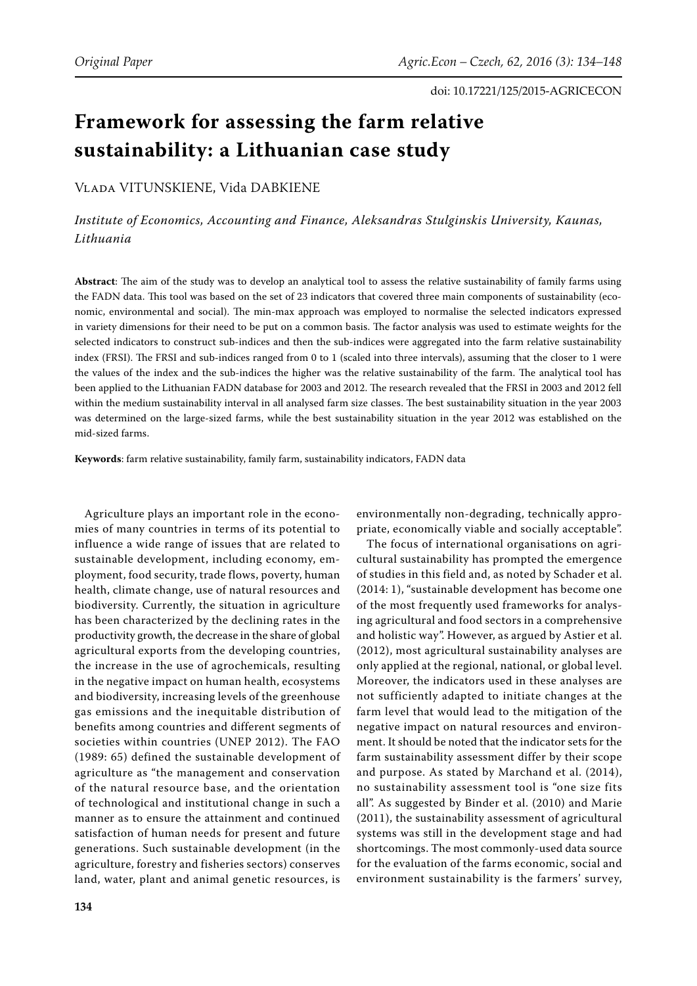# **Framework for assessing the farm relative sustainability: a Lithuanian case study**

Vlada VITUNSKIENE, Vida DABKIENE

*Institute of Economics, Accounting and Finance, Aleksandras Stulginskis University, Kaunas, Lithuania*

Abstract: The aim of the study was to develop an analytical tool to assess the relative sustainability of family farms using the FADN data. This tool was based on the set of 23 indicators that covered three main components of sustainability (economic, environmental and social). The min-max approach was employed to normalise the selected indicators expressed in variety dimensions for their need to be put on a common basis. The factor analysis was used to estimate weights for the selected indicators to construct sub-indices and then the sub-indices were aggregated into the farm relative sustainability index (FRSI). The FRSI and sub-indices ranged from 0 to 1 (scaled into three intervals), assuming that the closer to 1 were the values of the index and the sub-indices the higher was the relative sustainability of the farm. The analytical tool has been applied to the Lithuanian FADN database for 2003 and 2012. The research revealed that the FRSI in 2003 and 2012 fell within the medium sustainability interval in all analysed farm size classes. The best sustainability situation in the year 2003 was determined on the large-sized farms, while the best sustainability situation in the year 2012 was established on the mid-sized farms.

**Keywords**: farm relative sustainability, family farm, sustainability indicators, FADN data

Agriculture plays an important role in the economies of many countries in terms of its potential to influence a wide range of issues that are related to sustainable development, including economy, employment, food security, trade flows, poverty, human health, climate change, use of natural resources and biodiversity. Currently, the situation in agriculture has been characterized by the declining rates in the productivity growth, the decrease in the share of global agricultural exports from the developing countries, the increase in the use of agrochemicals, resulting in the negative impact on human health, ecosystems and biodiversity, increasing levels of the greenhouse gas emissions and the inequitable distribution of benefits among countries and different segments of societies within countries (UNEP 2012). The FAO (1989: 65) defined the sustainable development of agriculture as "the management and conservation of the natural resource base, and the orientation of technological and institutional change in such a manner as to ensure the attainment and continued satisfaction of human needs for present and future generations. Such sustainable development (in the agriculture, forestry and fisheries sectors) conserves land, water, plant and animal genetic resources, is

environmentally non-degrading, technically appropriate, economically viable and socially acceptable".

The focus of international organisations on agricultural sustainability has prompted the emergence of studies in this field and, as noted by Schader et al. (2014: 1), "sustainable development has become one of the most frequently used frameworks for analysing agricultural and food sectors in a comprehensive and holistic way". However, as argued by Astier et al. (2012), most agricultural sustainability analyses are only applied at the regional, national, or global level. Moreover, the indicators used in these analyses are not sufficiently adapted to initiate changes at the farm level that would lead to the mitigation of the negative impact on natural resources and environment. It should be noted that the indicator sets for the farm sustainability assessment differ by their scope and purpose. As stated by Marchand et al. (2014), no sustainability assessment tool is "one size fits all". As suggested by Binder et al. (2010) and Marie (2011), the sustainability assessment of agricultural systems was still in the development stage and had shortcomings. The most commonly-used data source for the evaluation of the farms economic, social and environment sustainability is the farmers' survey,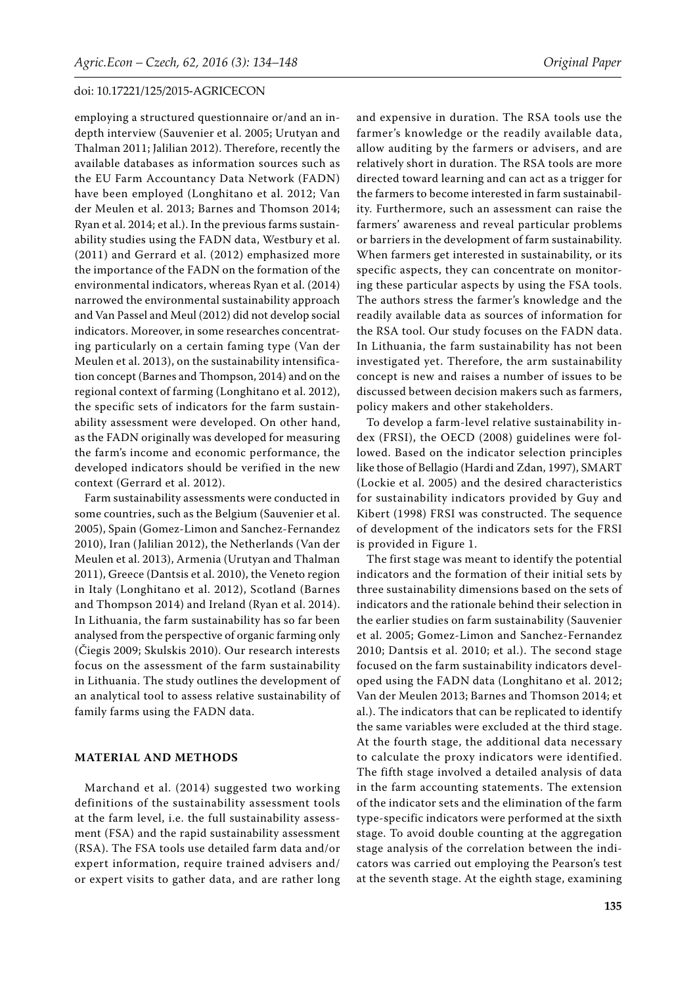employing a structured questionnaire or/and an indepth interview (Sauvenier et al. 2005; Urutyan and Thalman 2011; Jalilian 2012). Therefore, recently the available databases as information sources such as the EU Farm Accountancy Data Network (FADN) have been employed (Longhitano et al. 2012; Van der Meulen et al. 2013; Barnes and Thomson 2014; Ryan et al. 2014; et al.). In the previous farms sustainability studies using the FADN data, Westbury et al. (2011) and Gerrard et al. (2012) emphasized more the importance of the FADN on the formation of the environmental indicators, whereas Ryan et al. (2014) narrowed the environmental sustainability approach and Van Passel and Meul (2012) did not develop social indicators. Moreover, in some researches concentrating particularly on a certain faming type (Van der Meulen et al. 2013), on the sustainability intensification concept (Barnes and Thompson, 2014) and on the regional context of farming (Longhitano et al. 2012), the specific sets of indicators for the farm sustainability assessment were developed. On other hand, as the FADN originally was developed for measuring the farm's income and economic performance, the developed indicators should be verified in the new context (Gerrard et al. 2012).

Farm sustainability assessments were conducted in some countries, such as the Belgium (Sauvenier et al. 2005), Spain (Gomez-Limon and Sanchez-Fernandez 2010), Iran (Jalilian 2012), the Netherlands (Van der Meulen et al. 2013), Armenia (Urutyan and Thalman 2011), Greece (Dantsis et al. 2010), the Veneto region in Italy (Longhitano et al. 2012), Scotland (Barnes and Thompson 2014) and Ireland (Ryan et al. 2014). In Lithuania, the farm sustainability has so far been analysed from the perspective of organic farming only (Čiegis 2009; Skulskis 2010). Our research interests focus on the assessment of the farm sustainability in Lithuania. The study outlines the development of an analytical tool to assess relative sustainability of family farms using the FADN data.

# **MATERIAL AND METHODS**

Marchand et al. (2014) suggested two working definitions of the sustainability assessment tools at the farm level, i.e. the full sustainability assessment (FSA) and the rapid sustainability assessment (RSA). The FSA tools use detailed farm data and/or expert information, require trained advisers and/ or expert visits to gather data, and are rather long and expensive in duration. The RSA tools use the farmer's knowledge or the readily available data, allow auditing by the farmers or advisers, and are relatively short in duration. The RSA tools are more directed toward learning and can act as a trigger for the farmers to become interested in farm sustainability. Furthermore, such an assessment can raise the farmers' awareness and reveal particular problems or barriers in the development of farm sustainability. When farmers get interested in sustainability, or its specific aspects, they can concentrate on monitoring these particular aspects by using the FSA tools. The authors stress the farmer's knowledge and the readily available data as sources of information for the RSA tool. Our study focuses on the FADN data. In Lithuania, the farm sustainability has not been investigated yet. Therefore, the arm sustainability concept is new and raises a number of issues to be discussed between decision makers such as farmers, policy makers and other stakeholders.

To develop a farm-level relative sustainability index (FRSI), the OECD (2008) guidelines were followed. Based on the indicator selection principles like those of Bellagio (Hardi and Zdan, 1997), SMART (Lockie et al. 2005) and the desired characteristics for sustainability indicators provided by Guy and Kibert (1998) FRSI was constructed. The sequence of development of the indicators sets for the FRSI is provided in Figure 1.

The first stage was meant to identify the potential indicators and the formation of their initial sets by three sustainability dimensions based on the sets of indicators and the rationale behind their selection in the earlier studies on farm sustainability (Sauvenier et al. 2005; Gomez-Limon and Sanchez-Fernandez 2010; Dantsis et al. 2010; et al.). The second stage focused on the farm sustainability indicators developed using the FADN data (Longhitano et al. 2012; Van der Meulen 2013; Barnes and Thomson 2014; et al.). The indicators that can be replicated to identify the same variables were excluded at the third stage. At the fourth stage, the additional data necessary to calculate the proxy indicators were identified. The fifth stage involved a detailed analysis of data in the farm accounting statements. The extension of the indicator sets and the elimination of the farm type-specific indicators were performed at the sixth stage. To avoid double counting at the aggregation stage analysis of the correlation between the indicators was carried out employing the Pearson's test at the seventh stage. At the eighth stage, examining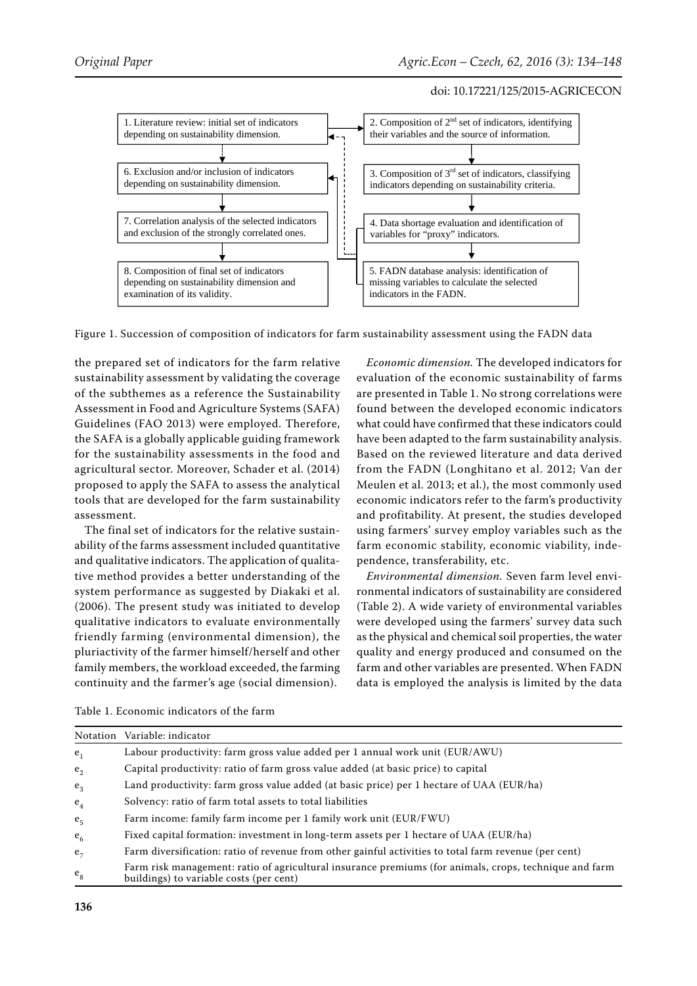

Figure 1. Succession of composition of indicators for farm sustainability assessment using the FADN data

the prepared set of indicators for the farm relative sustainability assessment by validating the coverage of the subthemes as a reference the Sustainability Assessment in Food and Agriculture Systems (SAFA) Guidelines (FAO 2013) were employed. Therefore, the SAFA is a globally applicable guiding framework for the sustainability assessments in the food and agricultural sector. Moreover, Schader et al. (2014) proposed to apply the SAFA to assess the analytical tools that are developed for the farm sustainability assessment.

The final set of indicators for the relative sustainability of the farms assessment included quantitative and qualitative indicators. The application of qualitative method provides a better understanding of the system performance as suggested by Diakaki et al. (2006). The present study was initiated to develop qualitative indicators to evaluate environmentally friendly farming (environmental dimension), the pluriactivity of the farmer himself/herself and other family members, the workload exceeded, the farming continuity and the farmer's age (social dimension).

*Economic dimension.* The developed indicators for evaluation of the economic sustainability of farms are presented in Table 1. No strong correlations were found between the developed economic indicators what could have confirmed that these indicators could have been adapted to the farm sustainability analysis. Based on the reviewed literature and data derived from the FADN (Longhitano et al. 2012; Van der Meulen et al. 2013; et al.), the most commonly used economic indicators refer to the farm's productivity and profitability. At present, the studies developed using farmers' survey employ variables such as the farm economic stability, economic viability, independence, transferability, etc.

*Environmental dimension.* Seven farm level environmental indicators of sustainability are considered (Table 2). A wide variety of environmental variables were developed using the farmers' survey data such as the physical and chemical soil properties, the water quality and energy produced and consumed on the farm and other variables are presented. When FADN data is employed the analysis is limited by the data

| Table 1. Economic indicators of the farm |  |  |
|------------------------------------------|--|--|
|------------------------------------------|--|--|

|                | Notation Variable: indicator                                                                                                                      |
|----------------|---------------------------------------------------------------------------------------------------------------------------------------------------|
| e <sub>1</sub> | Labour productivity: farm gross value added per 1 annual work unit (EUR/AWU)                                                                      |
| e <sub>2</sub> | Capital productivity: ratio of farm gross value added (at basic price) to capital                                                                 |
| $e_3$          | Land productivity: farm gross value added (at basic price) per 1 hectare of UAA (EUR/ha)                                                          |
| e <sub>4</sub> | Solvency: ratio of farm total assets to total liabilities                                                                                         |
| e <sub>5</sub> | Farm income: family farm income per 1 family work unit (EUR/FWU)                                                                                  |
| $e_6$          | Fixed capital formation: investment in long-term assets per 1 hectare of UAA (EUR/ha)                                                             |
| $e_7$          | Farm diversification: ratio of revenue from other gainful activities to total farm revenue (per cent)                                             |
| $e_8$          | Farm risk management: ratio of agricultural insurance premiums (for animals, crops, technique and farm<br>buildings) to variable costs (per cent) |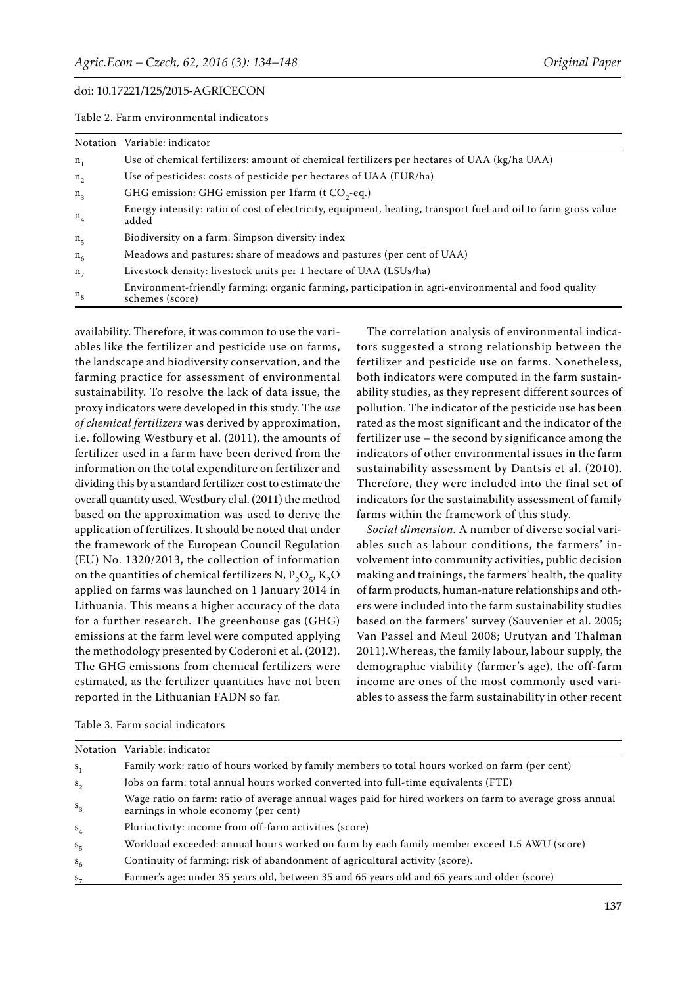|  | Table 2. Farm environmental indicators |  |
|--|----------------------------------------|--|
|--|----------------------------------------|--|

|                | Notation Variable: indicator                                                                                            |
|----------------|-------------------------------------------------------------------------------------------------------------------------|
| $n_{1}$        | Use of chemical fertilizers: amount of chemical fertilizers per hectares of UAA (kg/ha UAA)                             |
| $n_{2}$        | Use of pesticides: costs of pesticide per hectares of UAA (EUR/ha)                                                      |
| $n_3$          | GHG emission: GHG emission per 1 farm (t $CO_2$ -eq.)                                                                   |
| $n_4$          | Energy intensity: ratio of cost of electricity, equipment, heating, transport fuel and oil to farm gross value<br>added |
| n <sub>5</sub> | Biodiversity on a farm: Simpson diversity index                                                                         |
| $n_{6}$        | Meadows and pastures: share of meadows and pastures (per cent of UAA)                                                   |
| $n_{7}$        | Livestock density: livestock units per 1 hectare of UAA (LSUs/ha)                                                       |
| n <sub>8</sub> | Environment-friendly farming: organic farming, participation in agri-environmental and food quality<br>schemes (score)  |

availability. Therefore, it was common to use the variables like the fertilizer and pesticide use on farms, the landscape and biodiversity conservation, and the farming practice for assessment of environmental sustainability. To resolve the lack of data issue, the proxy indicators were developed in this study. The *use of chemical fertilizers* was derived by approximation, i.e. following Westbury et al. (2011), the amounts of fertilizer used in a farm have been derived from the information on the total expenditure on fertilizer and dividing this by a standard fertilizer cost to estimate the overall quantity used. Westbury el al. (2011) the method based on the approximation was used to derive the application of fertilizes. It should be noted that under the framework of the European Council Regulation (EU) No. 1320/2013, the collection of information on the quantities of chemical fertilizers N,  $P_2O_5$ , K<sub>2</sub>O applied on farms was launched on 1 January 2014 in Lithuania. This means a higher accuracy of the data for a further research. The greenhouse gas (GHG) emissions at the farm level were computed applying the methodology presented by Coderoni et al. (2012). The GHG emissions from chemical fertilizers were estimated, as the fertilizer quantities have not been reported in the Lithuanian FADN so far.

The correlation analysis of environmental indicators suggested a strong relationship between the fertilizer and pesticide use on farms. Nonetheless, both indicators were computed in the farm sustainability studies, as they represent different sources of pollution. The indicator of the pesticide use has been rated as the most significant and the indicator of the fertilizer use – the second by significance among the indicators of other environmental issues in the farm sustainability assessment by Dantsis et al. (2010). Therefore, they were included into the final set of indicators for the sustainability assessment of family farms within the framework of this study.

*Social dimension.* A number of diverse social variables such as labour conditions, the farmers' involvement into community activities, public decision making and trainings, the farmers' health, the quality of farm products, human-nature relationships and others were included into the farm sustainability studies based on the farmers' survey (Sauvenier et al. 2005; Van Passel and Meul 2008; Urutyan and Thalman 2011).Whereas, the family labour, labour supply, the demographic viability (farmer's age), the off-farm income are ones of the most commonly used variables to assess the farm sustainability in other recent

|            | Notation Variable: indicator                                                                                                                     |
|------------|--------------------------------------------------------------------------------------------------------------------------------------------------|
| $S_1$      | Family work: ratio of hours worked by family members to total hours worked on farm (per cent)                                                    |
| $S_2$      | Jobs on farm: total annual hours worked converted into full-time equivalents (FTE)                                                               |
| $S_3$      | Wage ratio on farm: ratio of average annual wages paid for hired workers on farm to average gross annual<br>earnings in whole economy (per cent) |
| $s_4$      | Pluriactivity: income from off-farm activities (score)                                                                                           |
| $S_5$      | Workload exceeded: annual hours worked on farm by each family member exceed 1.5 AWU (score)                                                      |
| $S_6$      | Continuity of farming: risk of abandonment of agricultural activity (score).                                                                     |
| $S_{\tau}$ | Farmer's age: under 35 years old, between 35 and 65 years old and 65 years and older (score)                                                     |

Table 3. Farm social indicators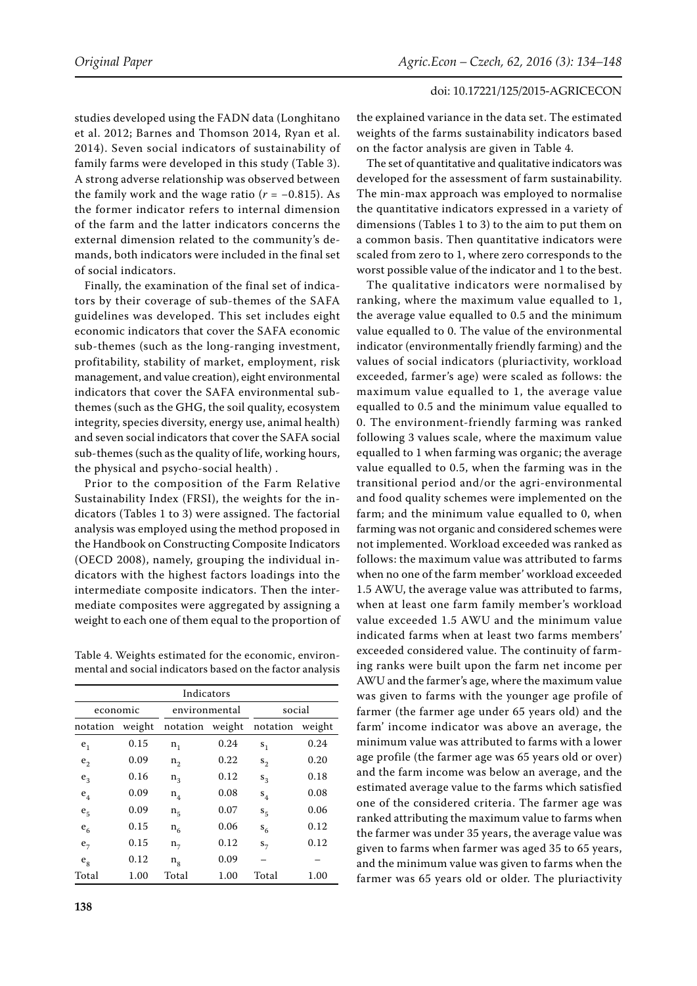studies developed using the FADN data (Longhitano et al. 2012; Barnes and Thomson 2014, Ryan et al. 2014). Seven social indicators of sustainability of family farms were developed in this study (Table 3). A strong adverse relationship was observed between the family work and the wage ratio  $(r = -0.815)$ . As the former indicator refers to internal dimension of the farm and the latter indicators concerns the external dimension related to the community's demands, both indicators were included in the final set of social indicators.

Finally, the examination of the final set of indicators by their coverage of sub-themes of the SAFA guidelines was developed. This set includes eight economic indicators that cover the SAFA economic sub-themes (such as the long-ranging investment, profitability, stability of market, employment, risk management, and value creation), eight environmental indicators that cover the SAFA environmental subthemes (such as the GHG, the soil quality, ecosystem integrity, species diversity, energy use, animal health) and seven social indicators that cover the SAFA social sub-themes (such as the quality of life, working hours, the physical and psycho-social health) .

Prior to the composition of the Farm Relative Sustainability Index (FRSI), the weights for the indicators (Tables 1 to 3) were assigned. The factorial analysis was employed using the method proposed in the Handbook on Constructing Composite Indicators (OECD 2008), namely, grouping the individual indicators with the highest factors loadings into the intermediate composite indicators. Then the intermediate composites were aggregated by assigning a weight to each one of them equal to the proportion of

Table 4. Weights estimated for the economic, environmental and social indicators based on the factor analysis

|                |        | Indicators     |        |          |        |  |
|----------------|--------|----------------|--------|----------|--------|--|
| economic       |        | environmental  |        | social   |        |  |
| notation       | weight | notation       | weight | notation | weight |  |
| $e_1$          | 0.15   | $n_{1}$        | 0.24   | $S_{1}$  | 0.24   |  |
| e <sub>2</sub> | 0.09   | $n_{2}$        | 0.22   | $S_2$    | 0.20   |  |
| $e_{\alpha}$   | 0.16   | $n_{\rm a}$    | 0.12   | $S_3$    | 0.18   |  |
| e <sub>4</sub> | 0.09   | $n_4$          | 0.08   | $S_4$    | 0.08   |  |
| e <sub>5</sub> | 0.09   | n <sub>5</sub> | 0.07   | $S_5$    | 0.06   |  |
| e <sub>6</sub> | 0.15   | $n_{6}$        | 0.06   | $S_6$    | 0.12   |  |
| e <sub>7</sub> | 0.15   | $n_{\tau}$     | 0.12   | $S_7$    | 0.12   |  |
| e <sub>8</sub> | 0.12   | $n_{\rm g}$    | 0.09   |          |        |  |
| Total          | 1.00   | Total          | 1.00   | Total    | 1.00   |  |

the explained variance in the data set. The estimated weights of the farms sustainability indicators based on the factor analysis are given in Table 4.

The set of quantitative and qualitative indicators was developed for the assessment of farm sustainability. The min-max approach was employed to normalise the quantitative indicators expressed in a variety of dimensions (Tables 1 to 3) to the aim to put them on a common basis. Then quantitative indicators were scaled from zero to 1, where zero corresponds to the worst possible value of the indicator and 1 to the best.

The qualitative indicators were normalised by ranking, where the maximum value equalled to 1, the average value equalled to 0.5 and the minimum value equalled to 0. The value of the environmental indicator (environmentally friendly farming) and the values of social indicators (pluriactivity, workload exceeded, farmer's age) were scaled as follows: the maximum value equalled to 1, the average value equalled to 0.5 and the minimum value equalled to 0. The environment-friendly farming was ranked following 3 values scale, where the maximum value equalled to 1 when farming was organic; the average value equalled to 0.5, when the farming was in the transitional period and/or the agri-environmental and food quality schemes were implemented on the farm; and the minimum value equalled to 0, when farming was not organic and considered schemes were not implemented. Workload exceeded was ranked as follows: the maximum value was attributed to farms when no one of the farm member' workload exceeded 1.5 AWU, the average value was attributed to farms, when at least one farm family member's workload value exceeded 1.5 AWU and the minimum value indicated farms when at least two farms members' exceeded considered value. The continuity of farming ranks were built upon the farm net income per AWU and the farmer's age, where the maximum value was given to farms with the younger age profile of farmer (the farmer age under 65 years old) and the farm' income indicator was above an average, the minimum value was attributed to farms with a lower age profile (the farmer age was 65 years old or over) and the farm income was below an average, and the estimated average value to the farms which satisfied one of the considered criteria. The farmer age was ranked attributing the maximum value to farms when the farmer was under 35 years, the average value was given to farms when farmer was aged 35 to 65 years, and the minimum value was given to farms when the farmer was 65 years old or older. The pluriactivity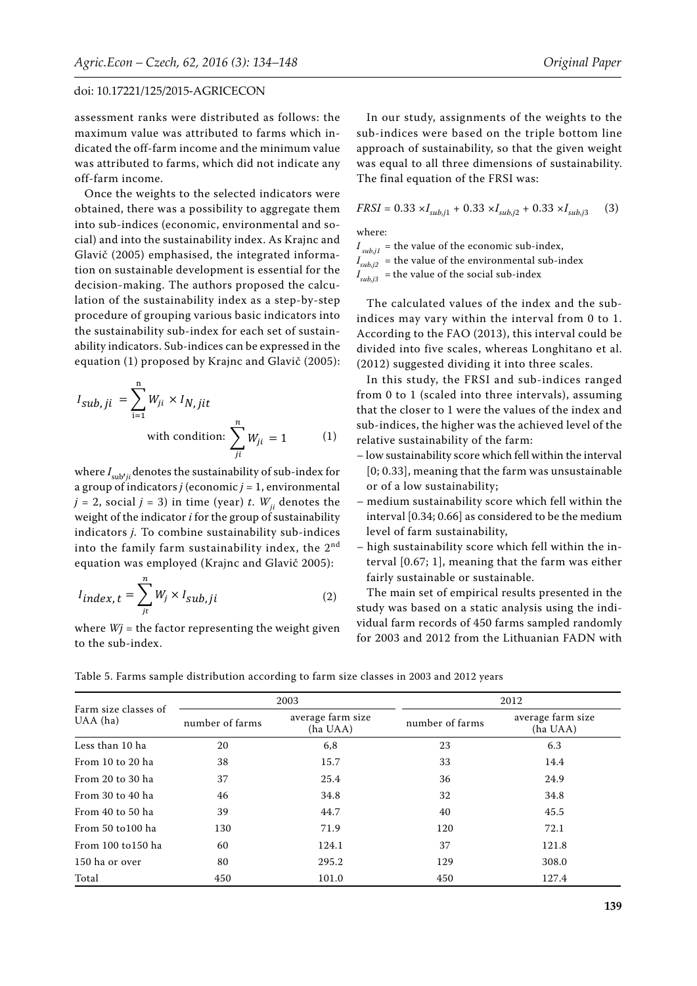assessment ranks were distributed as follows: the maximum value was attributed to farms which indicated the off-farm income and the minimum value was attributed to farms, which did not indicate any off-farm income.

Once the weights to the selected indicators were obtained, there was a possibility to aggregate them into sub-indices (economic, environmental and social) and into the sustainability index. As Krajnc and Glavič (2005) emphasised, the integrated information on sustainable development is essential for the decision-making. The authors proposed the calculation of the sustainability index as a step-by-step procedure of grouping various basic indicators into the sustainability sub-index for each set of sustainability indicators. Sub-indices can be expressed in the equation (1) proposed by Krajnc and Glavič (2005):

$$
I_{sub,ji} = \sum_{i=1}^{n} W_{ji} \times I_{N,jit}
$$
  
with condition: 
$$
\sum_{ji}^{n} W_{ji} = 1
$$
 (1)

where  $I_{\mathrm{sub'ji}}$  denotes the sustainability of sub-index for a group of indicators *j* (economic *j* = 1, environmental  $j = 2$ , social  $j = 3$ ) in time (year) *t*.  $W_{ji}$  denotes the weight of the indicator *i* for the group of sustainability indicators *j.* To combine sustainability sub-indices into the family farm sustainability index, the  $2<sup>nd</sup>$ equation was employed (Krajnc and Glavič 2005):

$$
I_{index, t} = \sum_{j_t}^{n} W_j \times I_{sub, ji}
$$
 (2)

where  $Wj$  = the factor representing the weight given to the sub-index.

In our study, assignments of the weights to the sub-indices were based on the triple bottom line approach of sustainability, so that the given weight was equal to all three dimensions of sustainability. The final equation of the FRSI was:

$$
FRSI = 0.33 \times I_{sub,j1} + 0.33 \times I_{sub,j2} + 0.33 \times I_{sub,j3}
$$
 (3)

where:

 $I_{sub,i1}$  = the value of the economic sub-index,  $I_{sub,i2}$  = the value of the environmental sub-index  $I_{sub,3}$  = the value of the social sub-index

The calculated values of the index and the subindices may vary within the interval from 0 to 1. According to the FAO (2013), this interval could be divided into five scales, whereas Longhitano et al. (2012) suggested dividing it into three scales.

In this study, the FRSI and sub-indices ranged from 0 to 1 (scaled into three intervals), assuming that the closer to 1 were the values of the index and sub-indices, the higher was the achieved level of the relative sustainability of the farm:

- low sustainability score which fell within the interval [0; 0.33], meaning that the farm was unsustainable or of a low sustainability;
- medium sustainability score which fell within the interval [0.34; 0.66] as considered to be the medium level of farm sustainability,
- high sustainability score which fell within the interval [0.67; 1], meaning that the farm was either fairly sustainable or sustainable.

The main set of empirical results presented in the study was based on a static analysis using the individual farm records of 450 farms sampled randomly for 2003 and 2012 from the Lithuanian FADN with

Table 5. Farms sample distribution according to farm size classes in 2003 and 2012 years

|                                    |                                                  | 2003  | 2012            |                               |  |
|------------------------------------|--------------------------------------------------|-------|-----------------|-------------------------------|--|
| Farm size classes of<br>$UAA$ (ha) | average farm size<br>number of farms<br>(ha UAA) |       | number of farms | average farm size<br>(ha UAA) |  |
| Less than 10 ha                    | 20                                               | 6,8   | 23              | 6.3                           |  |
| From 10 to 20 ha                   | 38                                               | 15.7  | 33              | 14.4                          |  |
| From $20$ to $30$ ha               | 37                                               | 25.4  | 36              | 24.9                          |  |
| From 30 to 40 ha                   | 46                                               | 34.8  | 32              | 34.8                          |  |
| From 40 to 50 ha                   | 39                                               | 44.7  | 40              | 45.5                          |  |
| From $50$ to $100$ ha              | 130                                              | 71.9  | 120             | 72.1                          |  |
| From 100 to 150 ha                 | 60                                               | 124.1 | 37              | 121.8                         |  |
| 150 ha or over                     | 80                                               | 295.2 | 129             | 308.0                         |  |
| Total                              | 450                                              | 101.0 | 450             | 127.4                         |  |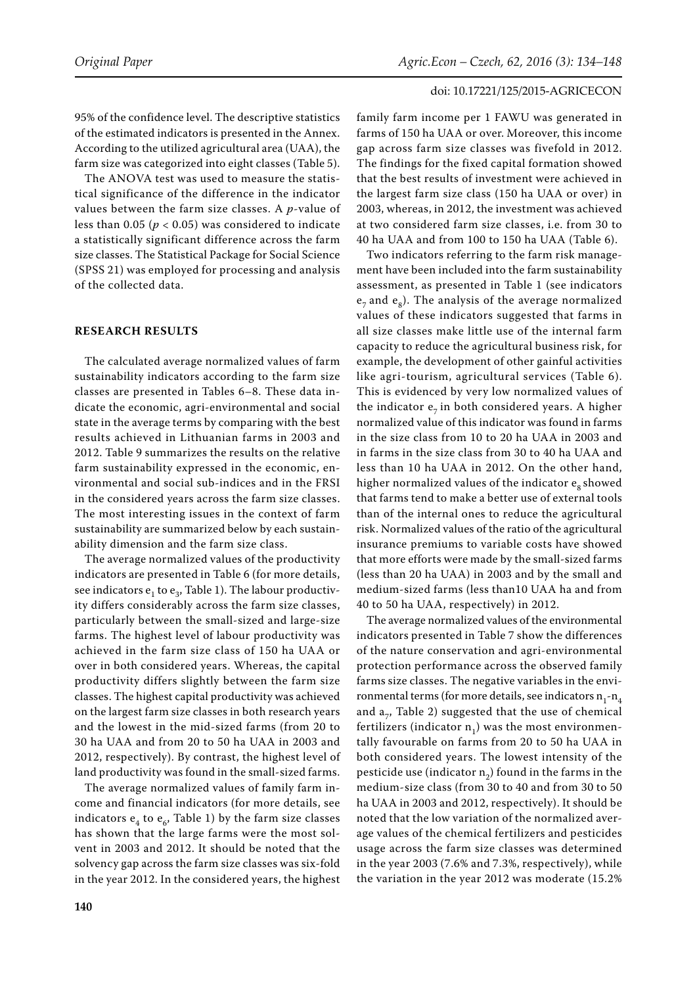95% of the confidence level. The descriptive statistics of the estimated indicators is presented in the Annex. According to the utilized agricultural area (UAA), the farm size was categorized into eight classes (Table 5).

The ANOVA test was used to measure the statistical significance of the difference in the indicator values between the farm size classes. A *p*-value of less than  $0.05$  ( $p < 0.05$ ) was considered to indicate a statistically significant difference across the farm size classes. The Statistical Package for Social Science (SPSS 21) was employed for processing and analysis of the collected data.

### **RESEARCH RESULTS**

The calculated average normalized values of farm sustainability indicators according to the farm size classes are presented in Tables 6–8. These data indicate the economic, agri-environmental and social state in the average terms by comparing with the best results achieved in Lithuanian farms in 2003 and 2012. Table 9 summarizes the results on the relative farm sustainability expressed in the economic, environmental and social sub-indices and in the FRSI in the considered years across the farm size classes. The most interesting issues in the context of farm sustainability are summarized below by each sustainability dimension and the farm size class.

The average normalized values of the productivity indicators are presented in Table 6 (for more details, see indicators  $e_1$  to  $e_3$ , Table 1). The labour productivity differs considerably across the farm size classes, particularly between the small-sized and large-size farms. The highest level of labour productivity was achieved in the farm size class of 150 ha UAA or over in both considered years. Whereas, the capital productivity differs slightly between the farm size classes. The highest capital productivity was achieved on the largest farm size classes in both research years and the lowest in the mid-sized farms (from 20 to 30 ha UAA and from 20 to 50 ha UAA in 2003 and 2012, respectively). By contrast, the highest level of land productivity was found in the small-sized farms.

The average normalized values of family farm income and financial indicators (for more details, see indicators  $e_4$  to  $e_6$ , Table 1) by the farm size classes has shown that the large farms were the most solvent in 2003 and 2012. It should be noted that the solvency gap across the farm size classes was six-fold in the year 2012. In the considered years, the highest family farm income per 1 FAWU was generated in farms of 150 ha UAA or over. Moreover, this income gap across farm size classes was fivefold in 2012. The findings for the fixed capital formation showed that the best results of investment were achieved in the largest farm size class (150 ha UAA or over) in 2003, whereas, in 2012, the investment was achieved at two considered farm size classes, i.e. from 30 to 40 ha UAA and from 100 to 150 ha UAA (Table 6).

Two indicators referring to the farm risk management have been included into the farm sustainability assessment, as presented in Table 1 (see indicators  $e_7$  and  $e_8$ ). The analysis of the average normalized values of these indicators suggested that farms in all size classes make little use of the internal farm capacity to reduce the agricultural business risk, for example, the development of other gainful activities like agri-tourism, agricultural services (Table 6). This is evidenced by very low normalized values of the indicator  $e_7$  in both considered years. A higher normalized value of this indicator was found in farms in the size class from 10 to 20 ha UAA in 2003 and in farms in the size class from 30 to 40 ha UAA and less than 10 ha UAA in 2012. On the other hand, higher normalized values of the indicator  $e_8$  showed that farms tend to make a better use of external tools than of the internal ones to reduce the agricultural risk. Normalized values of the ratio of the agricultural insurance premiums to variable costs have showed that more efforts were made by the small-sized farms (less than 20 ha UAA) in 2003 and by the small and medium-sized farms (less than10 UAA ha and from 40 to 50 ha UAA, respectively) in 2012.

The average normalized values of the environmental indicators presented in Table 7 show the differences of the nature conservation and agri-environmental protection performance across the observed family farms size classes. The negative variables in the environmental terms (for more details, see indicators  $n_1 - n_4$ and  $a_7$ , Table 2) suggested that the use of chemical fertilizers (indicator  $n_1$ ) was the most environmentally favourable on farms from 20 to 50 ha UAA in both considered years. The lowest intensity of the pesticide use (indicator  $n<sub>2</sub>$ ) found in the farms in the medium-size class (from 30 to 40 and from 30 to 50 ha UAA in 2003 and 2012, respectively). It should be noted that the low variation of the normalized average values of the chemical fertilizers and pesticides usage across the farm size classes was determined in the year 2003 (7.6% and 7.3%, respectively), while the variation in the year 2012 was moderate (15.2%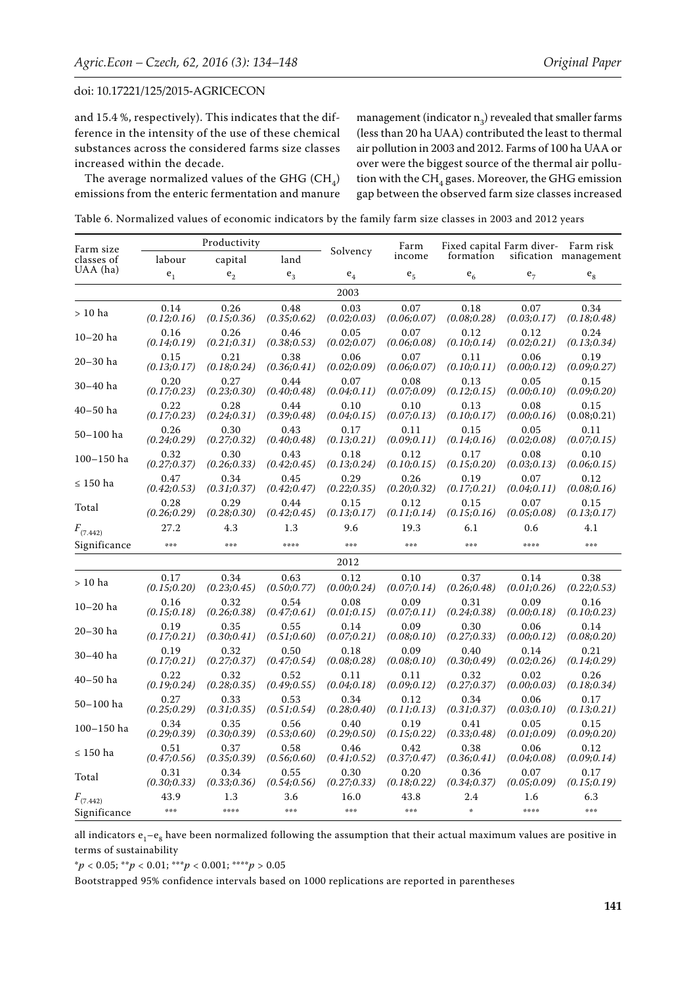and 15.4 %, respectively). This indicates that the difference in the intensity of the use of these chemical substances across the considered farms size classes increased within the decade.

The average normalized values of the GHG  $(CH_4)$ emissions from the enteric fermentation and manure management (indicator  $n_3$ ) revealed that smaller farms (less than 20 ha UAA) contributed the least to thermal air pollution in 2003 and 2012. Farms of 100 ha UAA or over were the biggest source of the thermal air pollution with the  $CH<sub>4</sub>$  gases. Moreover, the GHG emission gap between the observed farm size classes increased

Table 6. Normalized values of economic indicators by the family farm size classes in 2003 and 2012 years

| Farm size      | Productivity   |                |                | Farm           | Fixed capital Farm diver- | Farm risk     |                |                       |
|----------------|----------------|----------------|----------------|----------------|---------------------------|---------------|----------------|-----------------------|
| classes of     | labour         | capital        | land           | Solvency       | income                    | formation     |                | sification management |
| UAA (ha)       | $\mathbf{e}_1$ | e <sub>2</sub> | $\mathbf{e}_3$ | e <sub>4</sub> | $e_5$                     | $e_6$         | e <sub>7</sub> | e <sub>8</sub>        |
|                |                |                |                | 2003           |                           |               |                |                       |
| > 10 ha        | 0.14           | 0.26           | 0.48           | 0.03           | 0.07                      | 0.18          | 0.07           | 0.34                  |
|                | (0.12; 0.16)   | (0.15; 0.36)   | (0.35; 0.62)   | (0.02; 0.03)   | (0.06; 0.07)              | (0.08; 0.28)  | (0.03; 0.17)   | (0.18; 0.48)          |
| $10 - 20$ ha   | 0.16           | 0.26           | 0.46           | 0.05           | 0.07                      | 0.12          | 0.12           | 0.24                  |
|                | (0.14; 0.19)   | (0.21; 0.31)   | (0.38; 0.53)   | (0.02; 0.07)   | (0.06; 0.08)              | (0.10; 0.14)  | (0.02; 0.21)   | (0.13; 0.34)          |
| 20-30 ha       | 0.15           | 0.21           | 0.38           | 0.06           | 0.07                      | 0.11          | 0.06           | 0.19                  |
|                | (0.13; 0.17)   | (0.18; 0.24)   | (0.36; 0.41)   | (0.02; 0.09)   | (0.06; 0.07)              | (0.10; 0.11)  | (0.00; 0.12)   | (0.09; 0.27)          |
| 30-40 ha       | 0.20           | 0.27           | 0.44           | 0.07           | 0.08                      | 0.13          | 0.05           | 0.15                  |
|                | (0.17; 0.23)   | (0.23; 0.30)   | (0.40; 0.48)   | (0.04; 0.11)   | (0.07; 0.09)              | (0.12; 0.15)  | (0.00; 0.10)   | (0.09; 0.20)          |
| 40–50 ha       | 0.22           | 0.28           | 0.44           | 0.10           | 0.10                      | 0.13          | 0.08           | 0.15                  |
|                | (0.17; 0.23)   | (0.24; 0.31)   | (0.39; 0.48)   | (0.04; 0.15)   | (0.07; 0.13)              | (0.10; 0.17)  | (0.00; 0.16)   | (0.08; 0.21)          |
| 50-100 ha      | 0.26           | 0.30           | 0.43           | 0.17           | 0.11                      | 0.15          | 0.05           | 0.11                  |
|                | (0.24; 0.29)   | (0.27; 0.32)   | (0.40; 0.48)   | (0.13; 0.21)   | (0.09; 0.11)              | (0.14; 0.16)  | (0.02; 0.08)   | (0.07; 0.15)          |
| $100 - 150$ ha | 0.32           | 0.30           | 0.43           | 0.18           | 0.12                      | 0.17          | 0.08           | 0.10                  |
|                | (0.27; 0.37)   | (0.26; 0.33)   | (0.42; 0.45)   | (0.13; 0.24)   | (0.10; 0.15)              | (0.15; 0.20)  | (0.03; 0.13)   | (0.06; 0.15)          |
| $\leq 150$ ha  | 0.47           | 0.34           | 0.45           | 0.29           | 0.26                      | 0.19          | 0.07           | 0.12                  |
|                | (0.42; 0.53)   | (0.31; 0.37)   | (0.42; 0.47)   | (0.22; 0.35)   | (0.20; 0.32)              | (0.17; 0.21)  | (0.04; 0.11)   | (0.08; 0.16)          |
| Total          | 0.28           | 0.29           | 0.44           | 0.15           | 0.12                      | 0.15          | 0.07           | 0.15                  |
|                | (0.26; 0.29)   | (0.28; 0.30)   | (0.42; 0.45)   | (0.13; 0.17)   | (0.11; 0.14)              | (0.15; 0.16)  | (0.05; 0.08)   | (0.13; 0.17)          |
| $F_{(7.442)}$  | 27.2           | 4.3            | 1.3            | 9.6            | 19.3                      | 6.1           | 0.6            | 4.1                   |
| Significance   | ***            | 非非非            | ****           | ***            | ***                       | ***           | ****           | ***                   |
|                |                |                |                | 2012           |                           |               |                |                       |
| > 10 ha        | 0.17           | 0.34           | 0.63           | 0.12           | 0.10                      | 0.37          | 0.14           | 0.38                  |
|                | (0.15; 0.20)   | (0.23; 0.45)   | (0.50; 0.77)   | (0.00; 0.24)   | (0.07; 0.14)              | (0.26; 0.48)  | (0.01; 0.26)   | (0.22; 0.53)          |
| $10 - 20$ ha   | 0.16           | 0.32           | 0.54           | 0.08           | 0.09                      | 0.31          | 0.09           | 0.16                  |
|                | (0.15; 0.18)   | (0.26; 0.38)   | (0.47; 0.61)   | (0.01; 0.15)   | (0.07; 0.11)              | (0.24; 0.38)  | (0.00; 0.18)   | (0.10; 0.23)          |
| 20-30 ha       | 0.19           | 0.35           | 0.55           | 0.14           | 0.09                      | 0.30          | 0.06           | 0.14                  |
|                | (0.17; 0.21)   | (0.30; 0.41)   | (0.51; 0.60)   | (0.07; 0.21)   | (0.08; 0.10)              | (0.27; 0.33)  | (0.00; 0.12)   | (0.08; 0.20)          |
| 30-40 ha       | 0.19           | 0.32           | 0.50           | 0.18           | 0.09                      | 0.40          | 0.14           | 0.21                  |
|                | (0.17; 0.21)   | (0.27; 0.37)   | (0.47; 0.54)   | (0.08; 0.28)   | (0.08; 0.10)              | (0.30; 0.49)  | (0.02; 0.26)   | (0.14; 0.29)          |
| $40 - 50$ ha   | 0.22           | 0.32           | 0.52           | 0.11           | 0.11                      | 0.32          | 0.02           | 0.26                  |
|                | (0.19; 0.24)   | (0.28; 0.35)   | (0.49; 0.55)   | (0.04; 0.18)   | (0.09; 0.12)              | (0.27; 0.37)  | (0.00; 0.03)   | (0.18; 0.34)          |
| $50 - 100$ ha  | 0.27           | 0.33           | 0.53           | 0.34           | 0.12                      | 0.34          | 0.06           | 0.17                  |
|                | (0.25; 0.29)   | (0.31; 0.35)   | (0.51; 0.54)   | (0.28; 0.40)   | (0.11; 0.13)              | (0.31; 0.37)  | (0.03; 0.10)   | (0.13; 0.21)          |
| $100 - 150$ ha | 0.34           | 0.35           | 0.56           | 0.40           | 0.19                      | 0.41          | 0.05           | 0.15                  |
|                | (0.29; 0.39)   | (0.30; 0.39)   | (0.53; 0.60)   | (0.29; 0.50)   | (0.15; 0.22)              | (0.33; 0.48)  | (0.01; 0.09)   | (0.09; 0.20)          |
| ≤ 150 ha       | 0.51           | 0.37           | 0.58           | 0.46           | 0.42                      | 0.38          | 0.06           | 0.12                  |
|                | (0.47; 0.56)   | (0.35; 0.39)   | (0.56; 0.60)   | (0.41; 0.52)   | (0.37; 0.47)              | (0.36; 0.41)  | (0.04; 0.08)   | (0.09; 0.14)          |
| Total          | 0.31           | 0.34           | 0.55           | 0.30           | 0.20                      | 0.36          | 0.07           | 0.17                  |
|                | (0.30; 0.33)   | (0.33; 0.36)   | (0.54; 0.56)   | (0.27; 0.33)   | (0.18; 0.22)              | (0.34; 0.37)  | (0.05; 0.09)   | (0.15; 0.19)          |
| $F_{(7.442)}$  | 43.9           | 1.3            | 3.6            | 16.0           | 43.8                      | 2.4           | 1.6            | 6.3                   |
| Significance   | ***            | ****           | ***            | ***            | ***                       | $\frac{1}{2}$ | ****           | ***                   |

all indicators  $e_1-e_8$  have been normalized following the assumption that their actual maximum values are positive in terms of sustainability

\**p* < 0.05; \*\**p* < 0.01; \*\*\**p* < 0.001; \*\*\*\**p* > 0.05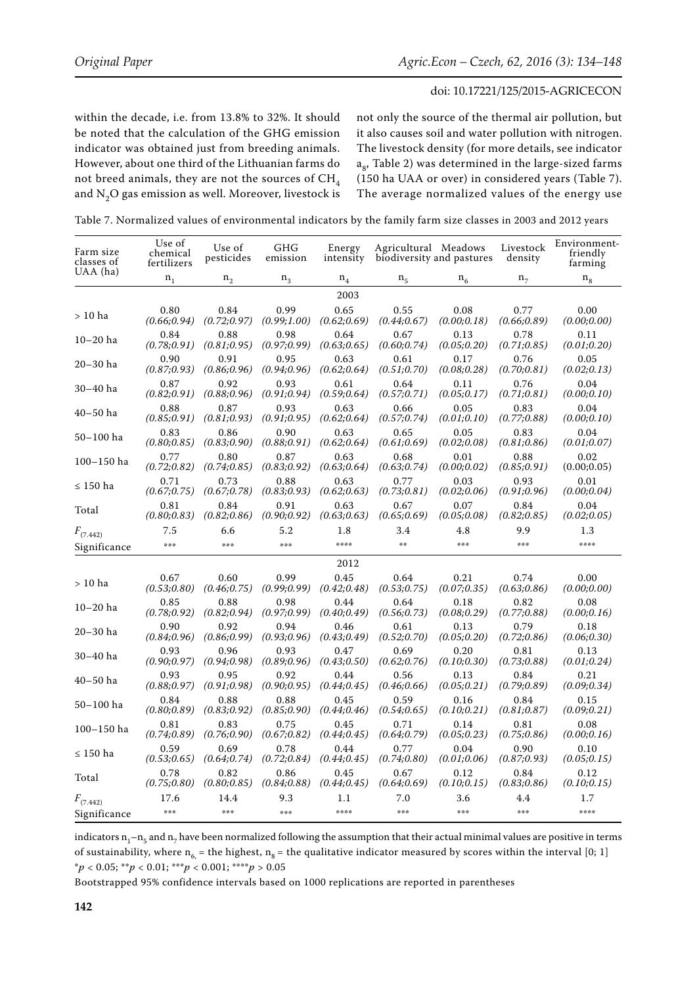within the decade, i.e. from 13.8% to 32%. It should be noted that the calculation of the GHG emission indicator was obtained just from breeding animals. However, about one third of the Lithuanian farms do not breed animals, they are not the sources of  $CH<sub>4</sub>$ and  $N<sub>2</sub>O$  gas emission as well. Moreover, livestock is not only the source of the thermal air pollution, but it also causes soil and water pollution with nitrogen. The livestock density (for more details, see indicator  $a_{8}$ , Table 2) was determined in the large-sized farms (150 ha UAA or over) in considered years (Table 7). The average normalized values of the energy use

Table 7. Normalized values of environmental indicators by the family farm size classes in 2003 and 2012 years

| Farm size<br>classes of | Use of<br>chemical<br>fertilizers | Use of<br>pesticides | GHG<br>emission | Energy<br>intensity | Agricultural Meadows | biodiversity and pastures | Livestock<br>density | Environment-<br>friendly<br>farming |
|-------------------------|-----------------------------------|----------------------|-----------------|---------------------|----------------------|---------------------------|----------------------|-------------------------------------|
| UAA (ha)                | $n_1$                             | $\mathbf{n}_2$       | $n_{3}$         | $n_4$               | n <sub>5</sub>       | $n_{6}$                   | $\mathbf{n}_7$       | $\rm n_{\rm 8}$                     |
|                         |                                   |                      |                 | 2003                |                      |                           |                      |                                     |
| > 10 ha                 | 0.80                              | 0.84                 | 0.99            | 0.65                | 0.55                 | 0.08                      | 0.77                 | 0.00                                |
|                         | (0.66; 0.94)                      | (0.72; 0.97)         | (0.99;1.00)     | (0.62; 0.69)        | (0.44; 0.67)         | (0.00; 0.18)              | (0.66; 0.89)         | (0.00; 0.00)                        |
| $10 - 20$ ha            | 0.84                              | 0.88                 | 0.98            | 0.64                | 0.67                 | 0.13                      | 0.78                 | 0.11                                |
|                         | (0.78; 0.91)                      | (0.81; 0.95)         | (0.97; 0.99)    | (0.63; 0.65)        | (0.60; 0.74)         | (0.05; 0.20)              | (0.71; 0.85)         | (0.01; 0.20)                        |
| $20 - 30$ ha            | 0.90                              | 0.91                 | 0.95            | 0.63                | 0.61                 | 0.17                      | 0.76                 | 0.05                                |
|                         | (0.87; 0.93)                      | (0.86; 0.96)         | (0.94; 0.96)    | (0.62; 0.64)        | (0.51; 0.70)         | (0.08; 0.28)              | (0.70; 0.81)         | (0.02; 0.13)                        |
| 30-40 ha                | 0.87                              | 0.92                 | 0.93            | 0.61                | 0.64                 | 0.11                      | 0.76                 | 0.04                                |
|                         | (0.82; 0.91)                      | (0.88; 0.96)         | (0.91; 0.94)    | (0.59; 0.64)        | (0.57; 0.71)         | (0.05; 0.17)              | (0.71; 0.81)         | (0.00; 0.10)                        |
| $40 - 50$ ha            | 0.88                              | 0.87                 | 0.93            | 0.63                | 0.66                 | 0.05                      | 0.83                 | 0.04                                |
|                         | (0.85; 0.91)                      | (0.81; 0.93)         | (0.91; 0.95)    | (0.62; 0.64)        | (0.57; 0.74)         | (0.01; 0.10)              | (0.77; 0.88)         | (0.00; 0.10)                        |
| 50-100 ha               | 0.83                              | 0.86                 | 0.90            | 0.63                | 0.65                 | 0.05                      | 0.83                 | 0.04                                |
|                         | (0.80; 0.85)                      | (0.83; 0.90)         | (0.88; 0.91)    | (0.62; 0.64)        | (0.61; 0.69)         | (0.02; 0.08)              | (0.81; 0.86)         | (0.01; 0.07)                        |
| $100 - 150$ ha          | 0.77                              | 0.80                 | 0.87            | 0.63                | 0.68                 | 0.01                      | 0.88                 | 0.02                                |
|                         | (0.72; 0.82)                      | (0.74; 0.85)         | (0.83; 0.92)    | (0.63; 0.64)        | (0.63; 0.74)         | (0.00; 0.02)              | (0.85; 0.91)         | (0.00; 0.05)                        |
| $\leq 150$ ha           | 0.71                              | 0.73                 | 0.88            | 0.63                | 0.77                 | 0.03                      | 0.93                 | 0.01                                |
|                         | (0.67; 0.75)                      | (0.67; 0.78)         | (0.83; 0.93)    | (0.62; 0.63)        | (0.73; 0.81)         | (0.02; 0.06)              | (0.91; 0.96)         | (0.00; 0.04)                        |
| Total                   | 0.81                              | 0.84                 | 0.91            | 0.63                | 0.67                 | 0.07                      | 0.84                 | 0.04                                |
|                         | (0.80; 0.83)                      | (0.82; 0.86)         | (0.90; 0.92)    | (0.63; 0.63)        | (0.65; 0.69)         | (0.05; 0.08)              | (0.82; 0.85)         | (0.02; 0.05)                        |
| $F_{(7.442)}$           | 7.5                               | 6.6                  | 5.2             | 1.8                 | 3.4                  | 4.8                       | 9.9                  | 1.3                                 |
| Significance            | ***                               | ***                  | ***             | ****                | $\pm$ $\pm$          | ***                       | $* * *$              | ****                                |
|                         |                                   |                      |                 | 2012                |                      |                           |                      |                                     |
| > 10 ha                 | 0.67                              | 0.60                 | 0.99            | 0.45                | 0.64                 | 0.21                      | 0.74                 | 0.00                                |
|                         | (0.53; 0.80)                      | (0.46; 0.75)         | (0.99; 0.99)    | (0.42; 0.48)        | (0.53; 0.75)         | (0.07; 0.35)              | (0.63; 0.86)         | (0.00; 0.00)                        |
| $10 - 20$ ha            | 0.85                              | 0.88                 | 0.98            | 0.44                | 0.64                 | 0.18                      | 0.82                 | 0.08                                |
|                         | (0.78; 0.92)                      | (0.82; 0.94)         | (0.97; 0.99)    | (0.40; 0.49)        | (0.56; 0.73)         | (0.08; 0.29)              | (0.77; 0.88)         | (0.00; 0.16)                        |
| $20 - 30$ ha            | 0.90                              | 0.92                 | 0.94            | 0.46                | 0.61                 | 0.13                      | 0.79                 | 0.18                                |
|                         | (0.84; 0.96)                      | (0.86; 0.99)         | (0.93; 0.96)    | (0.43; 0.49)        | (0.52; 0.70)         | (0.05; 0.20)              | (0.72; 0.86)         | (0.06; 0.30)                        |
| $30 - 40$ ha            | 0.93                              | 0.96                 | 0.93            | 0.47                | 0.69                 | 0.20                      | 0.81                 | 0.13                                |
|                         | (0.90; 0.97)                      | (0.94; 0.98)         | (0.89; 0.96)    | (0.43; 0.50)        | (0.62; 0.76)         | (0.10; 0.30)              | (0.73; 0.88)         | (0.01; 0.24)                        |
| $40 - 50$ ha            | 0.93                              | 0.95                 | 0.92            | 0.44                | 0.56                 | 0.13                      | 0.84                 | 0.21                                |
|                         | (0.88; 0.97)                      | (0.91; 0.98)         | (0.90; 0.95)    | (0.44; 0.45)        | (0.46; 0.66)         | (0.05; 0.21)              | (0.79; 0.89)         | (0.09; 0.34)                        |
| 50-100 ha               | 0.84                              | 0.88                 | 0.88            | 0.45                | 0.59                 | 0.16                      | 0.84                 | 0.15                                |
|                         | (0.80; 0.89)                      | (0.83; 0.92)         | (0.85; 0.90)    | (0.44; 0.46)        | (0.54; 0.65)         | (0.10; 0.21)              | (0.81; 0.87)         | (0.09; 0.21)                        |
| $100 - 150$ ha          | 0.81                              | 0.83                 | 0.75            | 0.45                | 0.71                 | 0.14                      | 0.81                 | 0.08                                |
|                         | (0.74; 0.89)                      | (0.76; 0.90)         | (0.67; 0.82)    | (0.44; 0.45)        | (0.64; 0.79)         | (0.05; 0.23)              | (0.75; 0.86)         | (0.00; 0.16)                        |
| ≤ 150 ha                | 0.59                              | 0.69                 | 0.78            | 0.44                | 0.77                 | 0.04                      | 0.90                 | 0.10                                |
|                         | (0.53; 0.65)                      | (0.64; 0.74)         | (0.72; 0.84)    | (0.44; 0.45)        | (0.74; 0.80)         | (0.01; 0.06)              | (0.87; 0.93)         | (0.05; 0.15)                        |
| Total                   | 0.78                              | 0.82                 | 0.86            | 0.45                | 0.67                 | 0.12                      | 0.84                 | 0.12                                |
|                         | (0.75; 0.80)                      | (0.80; 0.85)         | (0.84; 0.88)    | (0.44; 0.45)        | (0.64; 0.69)         | (0.10; 0.15)              | (0.83; 0.86)         | (0.10; 0.15)                        |
| $F_{(7.442)}$           | 17.6                              | 14.4                 | 9.3             | 1.1                 | 7.0                  | 3.6                       | 4.4                  | 1.7                                 |
| Significance            | ***                               | ***                  | ***             | ****                | 检验验                  | ***                       | 青米米                  | ****                                |

indicators  $n_1-n_5$  and  $n_7$  have been normalized following the assumption that their actual minimal values are positive in terms of sustainability, where  $n_6$  = the highest,  $n_8$  = the qualitative indicator measured by scores within the interval [0; 1] \**p* < 0.05; \*\**p* < 0.01; \*\*\**p* < 0.001; \*\*\*\**p* > 0.05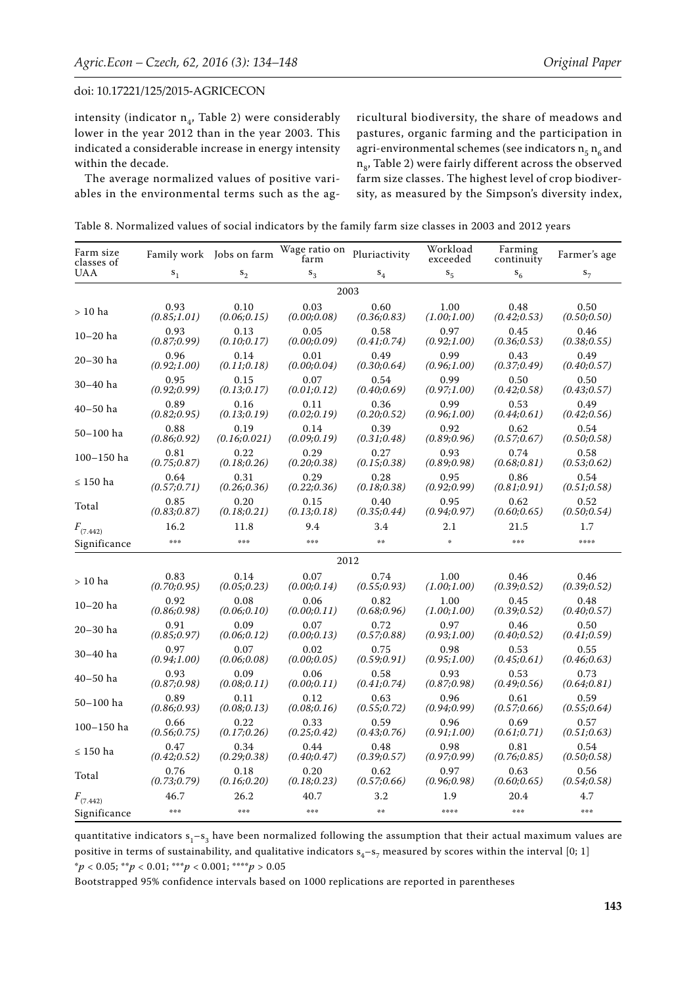intensity (indicator  $n_4$ , Table 2) were considerably lower in the year 2012 than in the year 2003. This indicated a considerable increase in energy intensity within the decade.

The average normalized values of positive variables in the environmental terms such as the agricultural biodiversity, the share of meadows and pastures, organic farming and the participation in agri-environmental schemes (see indicators  $n_5 n_6$  and  $n_{8}$ , Table 2) were fairly different across the observed farm size classes. The highest level of crop biodiversity, as measured by the Simpson's diversity index,

| Table 8. Normalized values of social indicators by the family farm size classes in 2003 and 2012 vears |  |  |
|--------------------------------------------------------------------------------------------------------|--|--|
|--------------------------------------------------------------------------------------------------------|--|--|

| Farm size<br>classes of |                | Family work Jobs on farm | Wage ratio on Pluriactivity<br>farm |                | Workload<br>exceeded | Farming<br>continuity | Farmer's age   |  |  |
|-------------------------|----------------|--------------------------|-------------------------------------|----------------|----------------------|-----------------------|----------------|--|--|
| UAA                     | $\mathbf{s}_1$ | $\mathbf{s}_2$           | $S_3$                               | $\mathbf{s}_4$ | $\mathbf{s}_5$       | $\mathbf{s}_6$        | $\mathbf{s}_7$ |  |  |
| 2003                    |                |                          |                                     |                |                      |                       |                |  |  |
| > 10 ha                 | 0.93           | 0.10                     | 0.03                                | 0.60           | 1.00                 | 0.48                  | 0.50           |  |  |
|                         | (0.85;1.01)    | (0.06; 0.15)             | (0.00; 0.08)                        | (0.36; 0.83)   | (1.00; 1.00)         | (0.42; 0.53)          | (0.50; 0.50)   |  |  |
| $10 - 20$ ha            | 0.93           | 0.13                     | 0.05                                | 0.58           | 0.97                 | 0.45                  | 0.46           |  |  |
|                         | (0.87; 0.99)   | (0.10; 0.17)             | (0.00; 0.09)                        | (0.41; 0.74)   | (0.92;1.00)          | (0.36; 0.53)          | (0.38; 0.55)   |  |  |
| $20 - 30$ ha            | 0.96           | 0.14                     | 0.01                                | 0.49           | 0.99                 | 0.43                  | 0.49           |  |  |
|                         | (0.92;1.00)    | (0.11; 0.18)             | (0.00; 0.04)                        | (0.30; 0.64)   | (0.96;1.00)          | (0.37; 0.49)          | (0.40; 0.57)   |  |  |
| 30-40 ha                | 0.95           | 0.15                     | 0.07                                | 0.54           | 0.99                 | 0.50                  | 0.50           |  |  |
|                         | (0.92; 0.99)   | (0.13; 0.17)             | (0.01; 0.12)                        | (0.40; 0.69)   | (0.97;1.00)          | (0.42; 0.58)          | (0.43; 0.57)   |  |  |
| 40–50 ha                | 0.89           | 0.16                     | 0.11                                | 0.36           | 0.99                 | 0.53                  | 0.49           |  |  |
|                         | (0.82; 0.95)   | (0.13; 0.19)             | (0.02; 0.19)                        | (0.20; 0.52)   | (0.96;1.00)          | (0.44; 0.61)          | (0.42; 0.56)   |  |  |
| $50 - 100$ ha           | 0.88           | 0.19                     | 0.14                                | 0.39           | 0.92                 | 0.62                  | 0.54           |  |  |
|                         | (0.86; 0.92)   | (0.16; 0.021)            | (0.09; 0.19)                        | (0.31; 0.48)   | (0.89; 0.96)         | (0.57; 0.67)          | (0.50; 0.58)   |  |  |
| $100 - 150$ ha          | 0.81           | 0.22                     | 0.29                                | 0.27           | 0.93                 | 0.74                  | 0.58           |  |  |
|                         | (0.75; 0.87)   | (0.18; 0.26)             | (0.20; 0.38)                        | (0.15; 0.38)   | (0.89; 0.98)         | (0.68; 0.81)          | (0.53; 0.62)   |  |  |
| $\leq 150$ ha           | 0.64           | 0.31                     | 0.29                                | 0.28           | 0.95                 | 0.86                  | 0.54           |  |  |
|                         | (0.57; 0.71)   | (0.26; 0.36)             | (0.22; 0.36)                        | (0.18; 0.38)   | (0.92; 0.99)         | (0.81; 0.91)          | (0.51; 0.58)   |  |  |
| Total                   | 0.85           | 0.20                     | 0.15                                | 0.40           | 0.95                 | 0.62                  | 0.52           |  |  |
|                         | (0.83; 0.87)   | (0.18; 0.21)             | (0.13; 0.18)                        | (0.35; 0.44)   | (0.94; 0.97)         | (0.60; 0.65)          | (0.50; 0.54)   |  |  |
| $F_{(7.442)}$           | 16.2           | 11.8                     | 9.4                                 | 3.4            | 2.1                  | 21.5                  | 1.7            |  |  |
| Significance            | $* * *$        | ***                      | ***                                 | **             | $\ast$               | ***                   | ****           |  |  |
|                         |                |                          |                                     | 2012           |                      |                       |                |  |  |
| > 10 ha                 | 0.83           | 0.14                     | 0.07                                | 0.74           | 1.00                 | 0.46                  | 0.46           |  |  |
|                         | (0.70; 0.95)   | (0.05; 0.23)             | (0.00; 0.14)                        | (0.55; 0.93)   | (1.00;1.00)          | (0.39; 0.52)          | (0.39; 0.52)   |  |  |
| $10 - 20$ ha            | 0.92           | 0.08                     | 0.06                                | 0.82           | 1.00                 | 0.45                  | 0.48           |  |  |
|                         | (0.86; 0.98)   | (0.06; 0.10)             | (0.00; 0.11)                        | (0.68; 0.96)   | (1.00; 1.00)         | (0.39; 0.52)          | (0.40; 0.57)   |  |  |
| $20 - 30$ ha            | 0.91           | 0.09                     | 0.07                                | 0.72           | 0.97                 | 0.46                  | 0.50           |  |  |
|                         | (0.85; 0.97)   | (0.06; 0.12)             | (0.00; 0.13)                        | (0.57; 0.88)   | (0.93;1.00)          | (0.40; 0.52)          | (0.41; 0.59)   |  |  |
| 30-40 ha                | 0.97           | 0.07                     | 0.02                                | 0.75           | 0.98                 | 0.53                  | 0.55           |  |  |
|                         | (0.94;1.00)    | (0.06; 0.08)             | (0.00; 0.05)                        | (0.59; 0.91)   | (0.95;1.00)          | (0.45; 0.61)          | (0.46; 0.63)   |  |  |
| $40 - 50$ ha            | 0.93           | 0.09                     | 0.06                                | 0.58           | 0.93                 | 0.53                  | 0.73           |  |  |
|                         | (0.87; 0.98)   | (0.08; 0.11)             | (0.00; 0.11)                        | (0.41; 0.74)   | (0.87; 0.98)         | (0.49; 0.56)          | (0.64; 0.81)   |  |  |
| 50-100 ha               | 0.89           | 0.11                     | 0.12                                | 0.63           | 0.96                 | 0.61                  | 0.59           |  |  |
|                         | (0.86; 0.93)   | (0.08; 0.13)             | (0.08; 0.16)                        | (0.55; 0.72)   | (0.94; 0.99)         | (0.57; 0.66)          | (0.55; 0.64)   |  |  |
| $100 - 150$ ha          | 0.66           | 0.22                     | 0.33                                | 0.59           | 0.96                 | 0.69                  | 0.57           |  |  |
|                         | (0.56; 0.75)   | (0.17; 0.26)             | (0.25; 0.42)                        | (0.43; 0.76)   | (0.91;1.00)          | (0.61; 0.71)          | (0.51; 0.63)   |  |  |
| $\leq 150$ ha           | 0.47           | 0.34                     | 0.44                                | 0.48           | 0.98                 | 0.81                  | 0.54           |  |  |
|                         | (0.42; 0.52)   | (0.29; 0.38)             | (0.40; 0.47)                        | (0.39; 0.57)   | (0.97; 0.99)         | (0.76; 0.85)          | (0.50; 0.58)   |  |  |
| Total                   | 0.76           | 0.18                     | 0.20                                | 0.62           | 0.97                 | 0.63                  | 0.56           |  |  |
|                         | (0.73; 0.79)   | (0.16; 0.20)             | (0.18; 0.23)                        | (0.57; 0.66)   | (0.96; 0.98)         | (0.60; 0.65)          | (0.54; 0.58)   |  |  |
| $F_{(7.442)}$           | 46.7           | 26.2                     | 40.7                                | 3.2            | 1.9                  | 20.4                  | 4.7            |  |  |
| Significance            | ***            | ***                      | ***                                 | 法法             | ****                 | ***                   | ***            |  |  |

quantitative indicators  $s_1-s_3$  have been normalized following the assumption that their actual maximum values are positive in terms of sustainability, and qualitative indicators  $s_4-s_7$  measured by scores within the interval [0; 1] \**p* < 0.05; \*\**p* < 0.01; \*\*\**p* < 0.001; \*\*\*\**p* > 0.05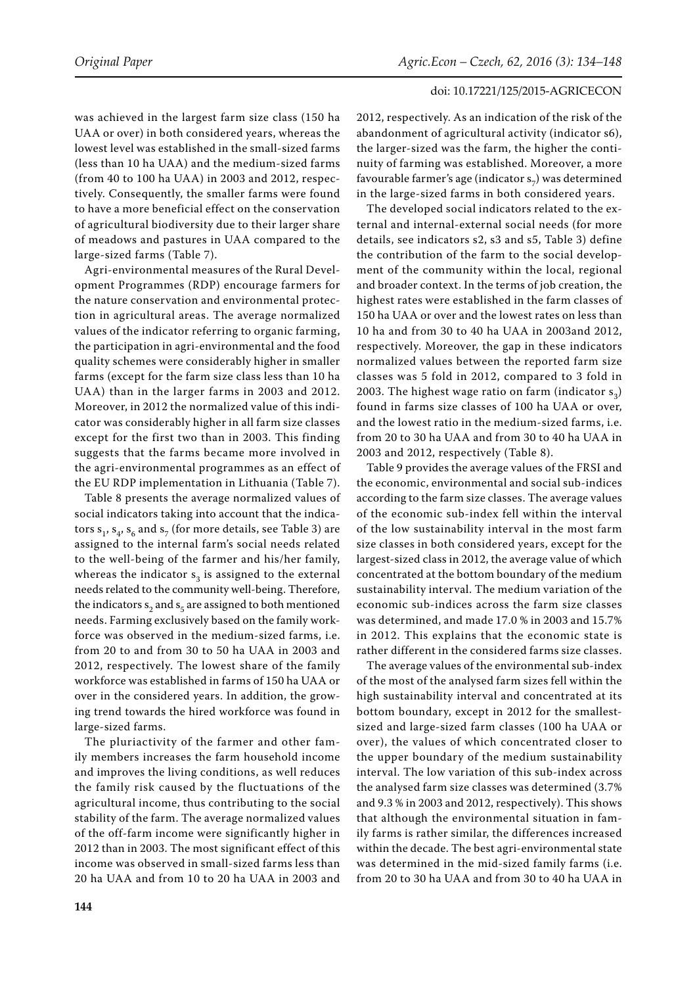was achieved in the largest farm size class (150 ha UAA or over) in both considered years, whereas the lowest level was established in the small-sized farms (less than 10 ha UAA) and the medium-sized farms (from 40 to 100 ha UAA) in 2003 and 2012, respectively. Consequently, the smaller farms were found to have a more beneficial effect on the conservation of agricultural biodiversity due to their larger share of meadows and pastures in UAA compared to the large-sized farms (Table 7).

Agri-environmental measures of the Rural Development Programmes (RDP) encourage farmers for the nature conservation and environmental protection in agricultural areas. The average normalized values of the indicator referring to organic farming, the participation in agri-environmental and the food quality schemes were considerably higher in smaller farms (except for the farm size class less than 10 ha UAA) than in the larger farms in 2003 and 2012. Moreover, in 2012 the normalized value of this indicator was considerably higher in all farm size classes except for the first two than in 2003. This finding suggests that the farms became more involved in the agri-environmental programmes as an effect of the EU RDP implementation in Lithuania (Table 7).

Table 8 presents the average normalized values of social indicators taking into account that the indicators  $s_1$ ,  $s_4$ ,  $s_6$  and  $s_7$  (for more details, see Table 3) are assigned to the internal farm's social needs related to the well-being of the farmer and his/her family, whereas the indicator  $s_3$  is assigned to the external needs related to the community well-being. Therefore, the indicators  $s_2$  and  $s_5$  are assigned to both mentioned needs. Farming exclusively based on the family workforce was observed in the medium-sized farms, i.e. from 20 to and from 30 to 50 ha UAA in 2003 and 2012, respectively. The lowest share of the family workforce was established in farms of 150 ha UAA or over in the considered years. In addition, the growing trend towards the hired workforce was found in large-sized farms.

The pluriactivity of the farmer and other family members increases the farm household income and improves the living conditions, as well reduces the family risk caused by the fluctuations of the agricultural income, thus contributing to the social stability of the farm. The average normalized values of the off-farm income were significantly higher in 2012 than in 2003. The most significant effect of this income was observed in small-sized farms less than 20 ha UAA and from 10 to 20 ha UAA in 2003 and 2012, respectively. As an indication of the risk of the abandonment of agricultural activity (indicator s6), the larger-sized was the farm, the higher the continuity of farming was established. Moreover, a more favourable farmer's age (indicator  $s_7$ ) was determined in the large-sized farms in both considered years.

The developed social indicators related to the external and internal-external social needs (for more details, see indicators s2, s3 and s5, Table 3) define the contribution of the farm to the social development of the community within the local, regional and broader context. In the terms of job creation, the highest rates were established in the farm classes of 150 ha UAA or over and the lowest rates on less than 10 ha and from 30 to 40 ha UAA in 2003and 2012, respectively. Moreover, the gap in these indicators normalized values between the reported farm size classes was 5 fold in 2012, compared to 3 fold in 2003. The highest wage ratio on farm (indicator  $s_3$ ) found in farms size classes of 100 ha UAA or over, and the lowest ratio in the medium-sized farms, i.e. from 20 to 30 ha UAA and from 30 to 40 ha UAA in 2003 and 2012, respectively (Table 8).

Table 9 provides the average values of the FRSI and the economic, environmental and social sub-indices according to the farm size classes. The average values of the economic sub-index fell within the interval of the low sustainability interval in the most farm size classes in both considered years, except for the largest-sized class in 2012, the average value of which concentrated at the bottom boundary of the medium sustainability interval. The medium variation of the economic sub-indices across the farm size classes was determined, and made 17.0 % in 2003 and 15.7% in 2012. This explains that the economic state is rather different in the considered farms size classes.

The average values of the environmental sub-index of the most of the analysed farm sizes fell within the high sustainability interval and concentrated at its bottom boundary, except in 2012 for the smallestsized and large-sized farm classes (100 ha UAA or over), the values of which concentrated closer to the upper boundary of the medium sustainability interval. The low variation of this sub-index across the analysed farm size classes was determined (3.7% and 9.3 % in 2003 and 2012, respectively). This shows that although the environmental situation in family farms is rather similar, the differences increased within the decade. The best agri-environmental state was determined in the mid-sized family farms (i.e. from 20 to 30 ha UAA and from 30 to 40 ha UAA in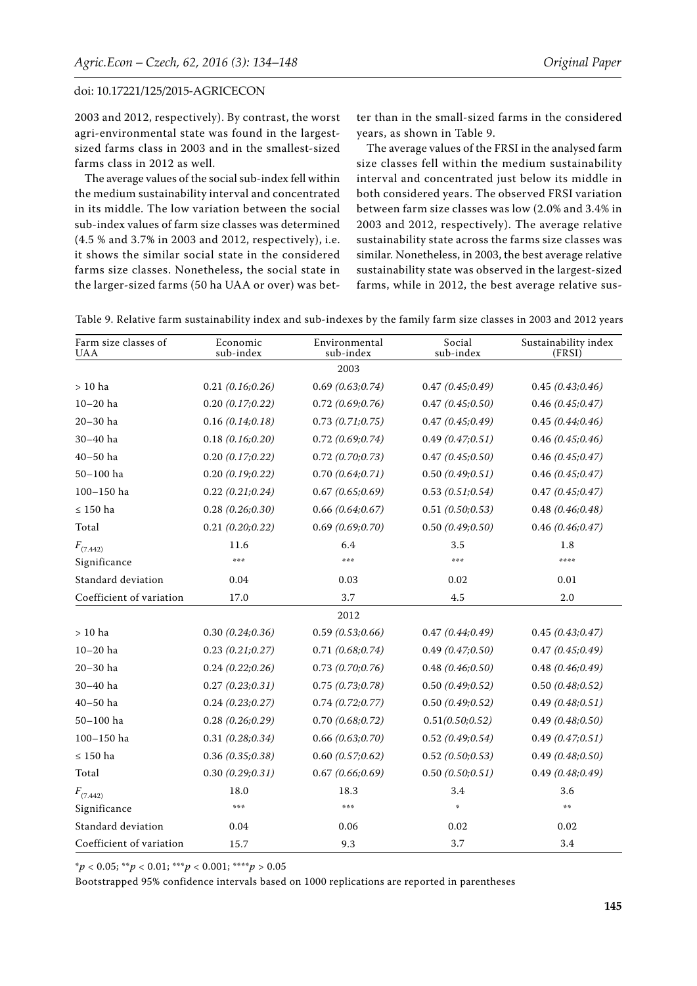2003 and 2012, respectively). By contrast, the worst agri-environmental state was found in the largestsized farms class in 2003 and in the smallest-sized farms class in 2012 as well.

The average values of the social sub-index fell within the medium sustainability interval and concentrated in its middle. The low variation between the social sub-index values of farm size classes was determined (4.5 % and 3.7% in 2003 and 2012, respectively), i.e. it shows the similar social state in the considered farms size classes. Nonetheless, the social state in the larger-sized farms (50 ha UAA or over) was bet-

ter than in the small-sized farms in the considered years, as shown in Table 9.

The average values of the FRSI in the analysed farm size classes fell within the medium sustainability interval and concentrated just below its middle in both considered years. The observed FRSI variation between farm size classes was low (2.0% and 3.4% in 2003 and 2012, respectively). The average relative sustainability state across the farms size classes was similar. Nonetheless, in 2003, the best average relative sustainability state was observed in the largest-sized farms, while in 2012, the best average relative sus-

Table 9. Relative farm sustainability index and sub-indexes by the family farm size classes in 2003 and 2012 years

| Farm size classes of<br><b>UAA</b> | Economic<br>sub-index | Environmental<br>sub-index | Social<br>sub-index   | Sustainability index<br>(FRSI) |
|------------------------------------|-----------------------|----------------------------|-----------------------|--------------------------------|
|                                    |                       | 2003                       |                       |                                |
| > 10 ha                            | 0.21 (0.16; 0.26)     | 0.69(0.63;0.74)            | 0.47(0.45;0.49)       | 0.45(0.43;0.46)                |
| $10 - 20$ ha                       | $0.20$ $(0.17;0.22)$  | 0.72(0.69;0.76)            | 0.47(0.45;0.50)       | $0.46$ (0.45;0.47)             |
| $20 - 30$ ha                       | 0.16(0.14;0.18)       | 0.73(0.71;0.75)            | 0.47(0.45;0.49)       | 0.45(0.44;0.46)                |
| $30 - 40$ ha                       | 0.18(0.16;0.20)       | 0.72(0.69;0.74)            | 0.49(0.47;0.51)       | 0.46(0.45;0.46)                |
| $40 - 50$ ha                       | $0.20$ $(0.17;0.22)$  | 0.72(0.70;0.73)            | 0.47(0.45;0.50)       | $0.46$ (0.45;0.47)             |
| $50 - 100$ ha                      | $0.20$ $(0.19;0.22)$  | 0.70(0.64;0.71)            | $0.50$ $(0.49;0.51)$  | $0.46$ $(0.45;0.47)$           |
| $100 - 150$ ha                     | 0.22(0.21; 0.24)      | 0.67(0.65;0.69)            | 0.53(0.51;0.54)       | 0.47(0.45;0.47)                |
| $\leq 150$ ha                      | 0.28(0.26;0.30)       | $0.66$ $(0.64;0.67)$       | $0.51$ $(0.50; 0.53)$ | 0.48(0.46;0.48)                |
| Total                              | 0.21 (0.20; 0.22)     | 0.69(0.69;0.70)            | $0.50$ $(0.49;0.50)$  | 0.46(0.46;0.47)                |
| $F_{(7.442)}$                      | 11.6                  | 6.4                        | 3.5                   | 1.8                            |
| Significance                       | 非非非                   | ***                        | ***                   | ****                           |
| Standard deviation                 | 0.04                  | 0.03                       | 0.02                  | 0.01                           |
| Coefficient of variation           | 17.0                  | 3.7                        | 4.5                   | 2.0                            |
|                                    |                       | 2012                       |                       |                                |
| $>10$ ha                           | 0.30(0.24;0.36)       | 0.59(0.53;0.66)            | 0.47(0.44;0.49)       | 0.45(0.43;0.47)                |
| $10 - 20$ ha                       | 0.23(0.21;0.27)       | 0.71(0.68;0.74)            | $0.49$ $(0.47;0.50)$  | 0.47(0.45;0.49)                |
| $20 - 30$ ha                       | 0.24(0.22;0.26)       | $0.73$ $(0.70; 0.76)$      | $0.48$ $(0.46; 0.50)$ | 0.48(0.46;0.49)                |
| 30-40 ha                           | 0.27(0.23;0.31)       | 0.75(0.73;0.78)            | $0.50$ $(0.49;0.52)$  | $0.50$ $(0.48; 0.52)$          |
| $40 - 50$ ha                       | 0.24(0.23;0.27)       | 0.74(0.72;0.77)            | $0.50$ $(0.49;0.52)$  | 0.49(0.48;0.51)                |
| $50 - 100$ ha                      | 0.28(0.26;0.29)       | $0.70$ $(0.68;0.72)$       | 0.51(0.50; 0.52)      | 0.49(0.48;0.50)                |
| $100 - 150$ ha                     | 0.31 (0.28; 0.34)     | $0.66$ $(0.63;0.70)$       | 0.52(0.49;0.54)       | 0.49(0.47;0.51)                |
| $\leq 150$ ha                      | $0.36$ (0.35;0.38)    | $0.60$ $(0.57;0.62)$       | $0.52$ (0.50;0.53)    | 0.49(0.48;0.50)                |
| Total                              | 0.30(0.29; 0.31)      | 0.67(0.66;0.69)            | 0.50(0.50; 0.51)      | 0.49(0.48;0.49)                |
| $F_{(7.442)}$                      | 18.0                  | 18.3                       | 3.4                   | 3.6                            |
| Significance                       | ***                   | $* * *$                    | $\frac{1}{2}$         | 染染                             |
| Standard deviation                 | 0.04                  | 0.06                       | 0.02                  | 0.02                           |
| Coefficient of variation           | 15.7                  | 9.3                        | 3.7                   | 3.4                            |

\**p* < 0.05; \*\**p* < 0.01; \*\*\**p* < 0.001; \*\*\*\**p* > 0.05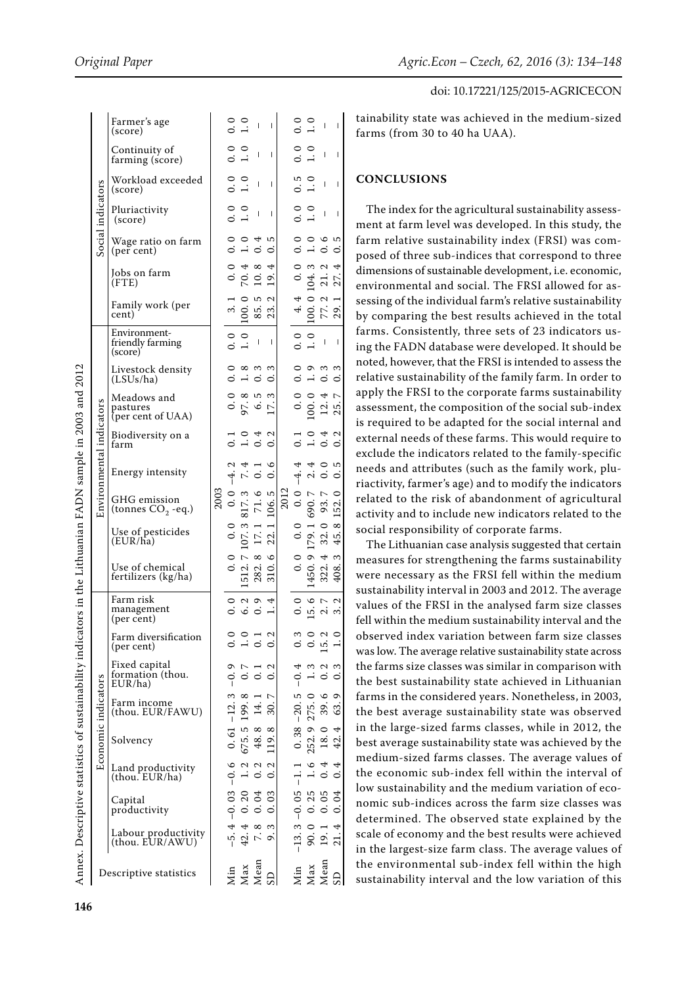ocial indicators

Farmer's age (score)

| Farmer's age<br>(score)                      |      |      | 0 0<br>0 1                                                                                   | $\overline{\phantom{a}}$              | $\mathsf{I}$                  |      |               | $\begin{matrix} 0 & 0 \\ 0 & -1 \end{matrix}$                          | $\overline{\phantom{a}}$ | $\mathsf{I}$          | саптарніс<br>farms (fr                        |
|----------------------------------------------|------|------|----------------------------------------------------------------------------------------------|---------------------------------------|-------------------------------|------|---------------|------------------------------------------------------------------------|--------------------------|-----------------------|-----------------------------------------------|
| Continuity of<br>farming (score)             |      |      | $\begin{smallmatrix}0&&0\&\text{-}1\end{smallmatrix}$                                        | $\begin{array}{c} \hline \end{array}$ | $\overline{\phantom{a}}$      |      |               | $\begin{smallmatrix}0&&0\&1\end{smallmatrix}$                          | $\mathsf I$              | $\mathsf{I}$          |                                               |
| Workload exceeded<br>(score)                 |      |      | $\begin{smallmatrix}0&&0\&1\end{smallmatrix}$                                                | $\overline{\phantom{a}}$              | $\mathsf{I}$                  |      |               | $0.5$<br>$1.0$                                                         | $\overline{\phantom{a}}$ | $\mathsf{I}$          | <b>CONCLI</b>                                 |
| Pluriactivity<br>(score)                     |      |      | $\begin{matrix} 0 & 0 \\ 1 & 0 \end{matrix}$                                                 | $\overline{\phantom{a}}$              | $\mathsf{I}$                  |      |               | $\begin{matrix}0\\0\\1\end{matrix}$                                    | $\mathbf{I}$             | $\overline{1}$        | The ind<br>ment at f<br>farm rela<br>posed of |
| Wage ratio on farm<br>$(\text{per cent})$    |      |      | 0 0 4 10<br>0 -i 0 0                                                                         |                                       |                               |      |               | $\circ$ $\circ$ $\circ$<br>$\ddot{\circ}$ $\dot{\circ}$ $\ddot{\circ}$ |                          |                       |                                               |
| Jobs on farm<br>(FTE)                        |      |      | $\circ$ $\circ$ $\circ$ $\circ$                                                              |                                       |                               |      |               | m N 4                                                                  | 104.<br>27.              |                       | dimensio<br>environm                          |
| Family work (per<br>cent)                    |      | ς.   |                                                                                              | r u<br>$\frac{25}{23}$                |                               |      | 4.<br>4       | $\rm \odot$                                                            | $\sim$                   | 77.<br>29.            | sessing of<br>by compa                        |
| Environment-<br>friendly farming<br>(score)  |      |      | $\begin{smallmatrix}0&&0\&1\end{smallmatrix}$                                                | $\overline{\phantom{a}}$              | $\overline{\phantom{a}}$      |      |               | $\begin{smallmatrix}0&&0\&0\1&&&0\end{smallmatrix}$                    | $\mathbf{I}$             | $\mathsf{I}$          | farms. Co<br>ing the F/                       |
| Livestock density<br>(LSUs/ha)               |      |      | o ∞ m m<br>o i o o                                                                           |                                       |                               |      |               | onm<br>odioo                                                           |                          |                       | noted, ho<br>relative s                       |
| Meadows and<br>pastures<br>(per cent of UAA) |      |      | $\circ$ $\circ$ $\circ$ $\circ$<br>0.565                                                     |                                       |                               |      | $\dot{\circ}$ | $\overline{8}$                                                         | マト<br>$\overline{5}$     | 25.                   | apply the<br>assessme                         |
| Biodiversity on a<br>farm                    |      |      | 1042<br>$\ddot{o}$ $\dot{a}$ $\dot{o}$ $\dot{o}$                                             |                                       |                               |      |               | $O$ $4N$<br>$\ddot{\circ}$ $\dot{\circ}$ $\ddot{\circ}$                |                          |                       | is require<br>external 1<br>exclude t         |
| Energy intensity                             |      |      | ギドゥゥ                                                                                         |                                       | $\circ$                       |      |               | ಕ಼ ನ ೦ ೦                                                               | 4 O N                    |                       | needs an<br>riactivity                        |
| GHG emission<br>(tonnes $CO2$ -eq.)          | 2003 |      | 817<br>71.                                                                                   |                                       | 5<br>$\frac{6}{3}$            | 2012 |               | $\sim$<br>690.                                                         | $\sim$                   | 93.<br>152.           | related to<br>activity a                      |
| Use of pesticides<br>(EUR/ha)                |      |      | S                                                                                            |                                       | 22.                           |      |               | 179.                                                                   | $\circ$                  | $\infty$<br>32.45     | social res<br>The Lit                         |
| Use of chemical<br>fertilizers (kg/ha)       |      | c,   | 512.                                                                                         | ${}^{\infty}$<br>282.                 | $\circ$<br>310                |      | $\dot{\circ}$ | $\circ$<br>.450.                                                       |                          | 4 ω<br>322.<br>408.   | measures<br>were nec                          |
| Farm risk<br>management<br>(per cent)        |      |      | 0 0 0<br>$\circ$ $\circ$ $\circ$ $\div$                                                      |                                       | ਚਾ                            |      |               | $\circ$ $\sim$ $\sim$<br>$0 \leq \alpha$ $\alpha$                      |                          |                       | sustainab<br>values of<br>fell withir         |
| Farm diversification<br>(per cent)           |      |      | $\circ$ $\circ$ $\sim$ $\sim$ $\sim$<br>ರ ಸ ರ                                                |                                       |                               |      |               | n 0 N 0<br>cicini                                                      |                          |                       | observed<br>was low. T                        |
| Fixed capital<br>formation (thou.<br>EUR/ha) |      |      | ငှ ၁ ၁ ၁<br>၂                                                                                |                                       |                               |      |               | $m \nmid m$                                                            |                          |                       | the farms<br>the best :                       |
| Farm income<br>(thou. EUR/FAWU)              |      |      | $^{\circ}$<br>199                                                                            |                                       | S                             |      |               | $\circ$<br>275.                                                        | $\mathcal{S}^2$          | $\circ$ $\circ$<br>ශී | farms in t<br>the best                        |
| Solvency                                     |      | 0.61 | $5 \text{ }\infty$<br>675.                                                                   | $\frac{48}{3}$                        | ${}^{\circ}$<br>$\frac{9}{1}$ |      |               | $\circ$<br>252.                                                        | $\frac{8}{18}$           | 4<br>42.              | in the lar<br>best aver:                      |
| Land productivity<br>(thou. EUR/ha)          |      |      | 6 9 9<br>$\frac{1}{\alpha}$ -i $\alpha$ -i                                                   |                                       | $\mathbf{\Omega}$             |      |               | $\circ$<br>$\vec{a}$ o                                                 |                          | $\dot{\circ}$         | medium-<br>the econ                           |
| Capital<br>productivity                      |      | 8    | ನಿ ಕೆ<br>ှ ၀ ၀                                                                               |                                       | පි<br>$\circ$                 |      |               | 25                                                                     |                          |                       | low susta<br>nomic su<br>determin             |
| Labour productivity<br>(thou. EUR/AWU)       |      |      | ক ক ∞<br>$\frac{1}{2}$ $\frac{1}{2}$ $\frac{1}{2}$ $\frac{1}{2}$ $\frac{1}{2}$ $\frac{1}{2}$ |                                       | S                             |      |               | $\circ$<br>S.                                                          | $\overline{\circ}$       |                       | scale of e<br>in the lar                      |
| escriptive statistics                        |      |      | Min<br>Max                                                                                   |                                       |                               |      |               |                                                                        |                          |                       | the envir<br>sustainab                        |

 $\frac{\text{Mean}}{\text{SD}}$ 

 $rac{0}{0}$   $rac{0}{1}$   $rac{1}{1}$ 

 $\begin{array}{c} 0.0 \\ 1.0 \end{array}$  $\bar{1}$  tainability state was achieved in the medium-sized farms (from 30 to 40 ha UAA).

# **CONCLUSIONS**

lex for the agricultural sustainability assessarm level was developed. In this study, the tive sustainability index (FRSI) was comthree sub-indices that correspond to three ns of sustainable development, i.e. economic, nental and social. The FRSI allowed for asf the individual farm's relative sustainability aring the best results achieved in the total onsistently, three sets of 23 indicators us-ADN database were developed. It should be wever, that the FRSI is intended to assess the ustainability of the family farm. In order to FRSI to the corporate farms sustainability nt, the composition of the social sub-index ed to be adapted for the social internal and needs of these farms. This would require to the indicators related to the family-specific d attributes (such as the family work, plur, farmer's age) and to modify the indicators o the risk of abandonment of agricultural nd to include new indicators related to the sponsibility of corporate farms.

thuanian case analysis suggested that certain s for strengthening the farms sustainability essary as the FRSI fell within the medium ility interval in 2003 and 2012. The average the FRSI in the analysed farm size classes n the medium sustainability interval and the index variation between farm size classes The average relative sustainability state across size classes was similar in comparison with sustainability state achieved in Lithuanian the considered years. Nonetheless, in 2003, average sustainability state was observed ge-sized farms classes, while in 2012, the age sustainability state was achieved by the sized farms classes. The average values of omic sub-index fell within the interval of inability and the medium variation of ecob-indices across the farm size classes was red. The observed state explained by the conomy and the best results were achieved in the largest-size farm class. The average values of the environmental sub-index fell within the high sustainability interval and the low variation of this

Annex. Descriptive statistics of sustainability indicators in the Lithuanian FADN sample in 2003 and 2012 Annex. Descriptive statistics of sustainability indicators in the Lithuanian FADN sample in 2003 and 2012

Economic indicators

Economic indicators Environmental indicators Social indicators

Environmental indicators

Descriptive statistics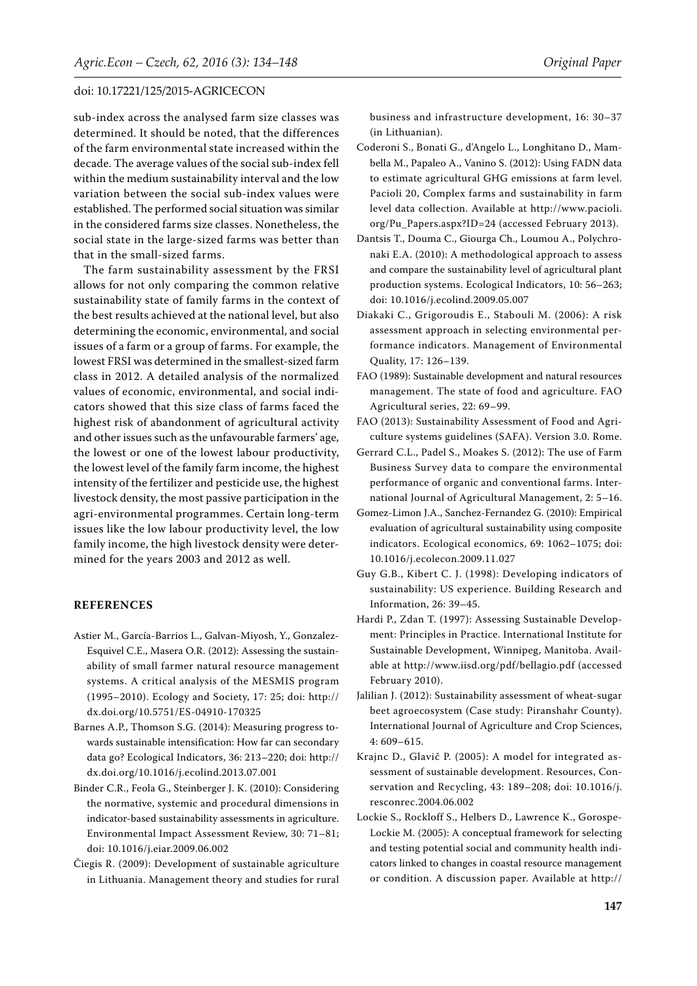sub-index across the analysed farm size classes was determined. It should be noted, that the differences of the farm environmental state increased within the decade. The average values of the social sub-index fell within the medium sustainability interval and the low variation between the social sub-index values were established. The performed social situation was similar in the considered farms size classes. Nonetheless, the social state in the large-sized farms was better than that in the small-sized farms.

The farm sustainability assessment by the FRSI allows for not only comparing the common relative sustainability state of family farms in the context of the best results achieved at the national level, but also determining the economic, environmental, and social issues of a farm or a group of farms. For example, the lowest FRSI was determined in the smallest-sized farm class in 2012. A detailed analysis of the normalized values of economic, environmental, and social indicators showed that this size class of farms faced the highest risk of abandonment of agricultural activity and other issues such as the unfavourable farmers' age, the lowest or one of the lowest labour productivity, the lowest level of the family farm income, the highest intensity of the fertilizer and pesticide use, the highest livestock density, the most passive participation in the agri-environmental programmes. Certain long-term issues like the low labour productivity level, the low family income, the high livestock density were determined for the years 2003 and 2012 as well.

# **REFERENCES**

- Astier M., García-Barrios L., Galvan-Miyosh, Y., Gonzalez-Esquivel C.E., Masera O.R. (2012): Assessing the sustainability of small farmer natural resource management systems. A critical analysis of the MESMIS program (1995–2010). Ecology and Society, 17: 25; doi: http:// dx.doi.org/10.5751/ES-04910-170325
- Barnes A.P., Thomson S.G. (2014): Measuring progress towards sustainable intensification: How far can secondary data go? Ecological Indicators, 36: 213–220; doi: http:// dx.doi.org/10.1016/j.ecolind.2013.07.001
- Binder C.R., Feola G., Steinberger J. K. (2010): Considering the normative, systemic and procedural dimensions in indicator-based sustainability assessments in agriculture. Environmental Impact Assessment Review, 30: 71–81; doi: 10.1016/j.eiar.2009.06.002
- Čiegis R. (2009): Development of sustainable agriculture in Lithuania. Management theory and studies for rural

business and infrastructure development, 16: 30–37 (in Lithuanian).

- Coderoni S., Bonati G., d'Angelo L., Longhitano D., Mambella M., Papaleo A., Vanino S. (2012): Using FADN data to estimate agricultural GHG emissions at farm level. Pacioli 20, Complex farms and sustainability in farm level data collection. Available at http://www.pacioli. org/Pu\_Papers.aspx?ID=24 (accessed February 2013).
- Dantsis T., Douma C., Giourga Ch., Loumou A., Polychronaki E.A. (2010): A methodological approach to assess and compare the sustainability level of agricultural plant production systems. Ecological Indicators, 10: 56–263; doi: 10.1016/j.ecolind.2009.05.007
- Diakaki C., Grigoroudis E., Stabouli M. (2006): A risk assessment approach in selecting environmental performance indicators. Management of Environmental Quality, 17: 126–139.
- FAO (1989): Sustainable development and natural resources management. The state of food and agriculture. FAO Agricultural series, 22: 69–99.
- FAO (2013): Sustainability Assessment of Food and Agriculture systems guidelines (SAFA). Version 3.0. Rome.
- Gerrard C.L., Padel S., Moakes S. (2012): The use of Farm Business Survey data to compare the environmental performance of organic and conventional farms. International Journal of Agricultural Management, 2: 5–16.
- Gomez-Limon J.A., Sanchez-Fernandez G. (2010): Empirical evaluation of agricultural sustainability using composite indicators. Ecological economics, 69: 1062–1075; doi: 10.1016/j.ecolecon.2009.11.027
- Guy G.B., Kibert C. J. (1998): Developing indicators of sustainability: US experience. Building Research and Information, 26: 39–45.
- Hardi P., Zdan T. (1997): Assessing Sustainable Development: Principles in Practice. International Institute for Sustainable Development, Winnipeg, Manitoba. Available at http://www.iisd.org/pdf/bellagio.pdf (accessed February 2010).
- Jalilian J. (2012): Sustainability assessment of wheat-sugar beet agroecosystem (Case study: Piranshahr County). International Journal of Agriculture and Crop Sciences, 4: 609–615.
- Krajnc D., Glavič P. (2005): A model for integrated assessment of sustainable development. Resources, Conservation and Recycling, 43: 189–208; doi: 10.1016/j. resconrec.2004.06.002
- Lockie S., Rockloff S., Helbers D., Lawrence K., Gorospe-Lockie M. (2005): A conceptual framework for selecting and testing potential social and community health indicators linked to changes in coastal resource management or condition. A discussion paper. Available at http://